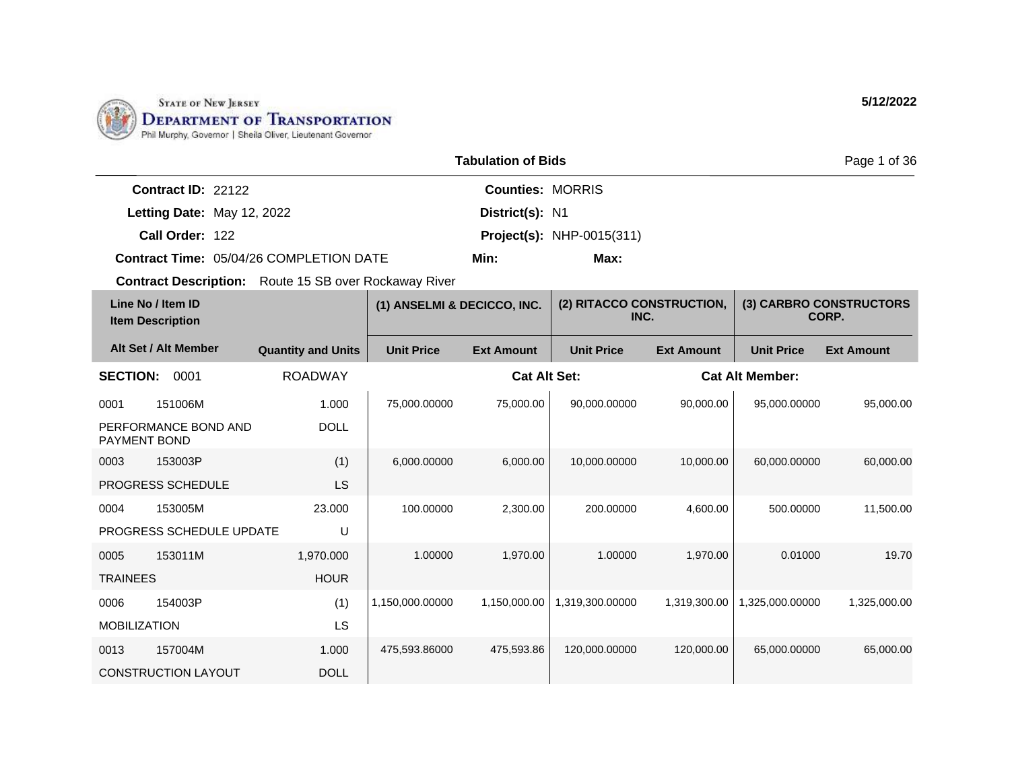

|                                         | <b>Tabulation of Bids</b> |                                  |  |  |  |
|-----------------------------------------|---------------------------|----------------------------------|--|--|--|
| Contract $ID: 22122$                    |                           | <b>Counties: MORRIS</b>          |  |  |  |
| Letting Date: May 12, 2022              | District(s): N1           |                                  |  |  |  |
| Call Order: 122                         |                           | <b>Project(s): NHP-0015(311)</b> |  |  |  |
| Contract Time: 05/04/26 COMPLETION DATE | Min:                      | Max:                             |  |  |  |

| Line No / Item ID<br><b>Item Description</b> |                            | (1) ANSELMI & DECICCO, INC. |                   | (2) RITACCO CONSTRUCTION,<br>INC. |                   | (3) CARBRO CONSTRUCTORS<br>CORP. |                        |                   |
|----------------------------------------------|----------------------------|-----------------------------|-------------------|-----------------------------------|-------------------|----------------------------------|------------------------|-------------------|
|                                              | Alt Set / Alt Member       | <b>Quantity and Units</b>   | <b>Unit Price</b> | <b>Ext Amount</b>                 | <b>Unit Price</b> | <b>Ext Amount</b>                | <b>Unit Price</b>      | <b>Ext Amount</b> |
| <b>SECTION:</b>                              | 0001                       | <b>ROADWAY</b>              |                   | <b>Cat Alt Set:</b>               |                   |                                  | <b>Cat Alt Member:</b> |                   |
| 0001                                         | 151006M                    | 1.000                       | 75,000.00000      | 75,000.00                         | 90,000.00000      | 90,000.00                        | 95,000.00000           | 95,000.00         |
| PAYMENT BOND                                 | PERFORMANCE BOND AND       | <b>DOLL</b>                 |                   |                                   |                   |                                  |                        |                   |
| 0003                                         | 153003P                    | (1)                         | 6,000.00000       | 6,000.00                          | 10,000.00000      | 10,000.00                        | 60.000.00000           | 60,000.00         |
|                                              | PROGRESS SCHEDULE          | <b>LS</b>                   |                   |                                   |                   |                                  |                        |                   |
| 0004                                         | 153005M                    | 23,000                      | 100.00000         | 2,300.00                          | 200.00000         | 4,600.00                         | 500.00000              | 11,500.00         |
|                                              | PROGRESS SCHEDULE UPDATE   | U                           |                   |                                   |                   |                                  |                        |                   |
| 0005                                         | 153011M                    | 1,970.000                   | 1.00000           | 1,970.00                          | 1.00000           | 1,970.00                         | 0.01000                | 19.70             |
| <b>TRAINEES</b>                              |                            | <b>HOUR</b>                 |                   |                                   |                   |                                  |                        |                   |
| 0006                                         | 154003P                    | (1)                         | 1,150,000.00000   | 1,150,000.00                      | 1,319,300.00000   | 1,319,300.00                     | 1,325,000.00000        | 1,325,000.00      |
| <b>MOBILIZATION</b>                          |                            | LS                          |                   |                                   |                   |                                  |                        |                   |
| 0013                                         | 157004M                    | 1.000                       | 475,593.86000     | 475,593.86                        | 120,000.00000     | 120.000.00                       | 65,000.00000           | 65,000.00         |
|                                              | <b>CONSTRUCTION LAYOUT</b> | <b>DOLL</b>                 |                   |                                   |                   |                                  |                        |                   |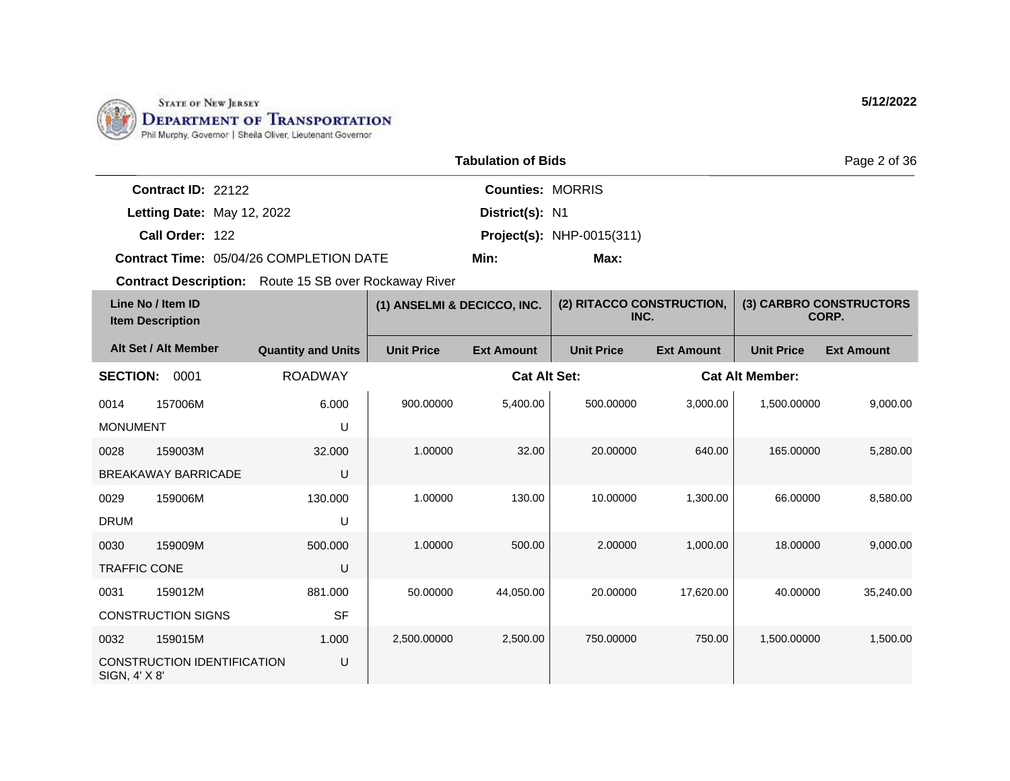

|                      |                                                | Page 2 of 36            |                                  |  |
|----------------------|------------------------------------------------|-------------------------|----------------------------------|--|
| Contract $ID: 22122$ |                                                | <b>Counties: MORRIS</b> |                                  |  |
|                      | Letting Date: May 12, 2022                     | District(s): N1         |                                  |  |
| Call Order: 122      |                                                |                         | <b>Project(s): NHP-0015(311)</b> |  |
|                      | <b>Contract Time: 05/04/26 COMPLETION DATE</b> | Min:                    | Max:                             |  |

| Line No / Item ID<br><b>Item Description</b> |                             | (1) ANSELMI & DECICCO, INC. |                   | (2) RITACCO CONSTRUCTION,<br>INC. |                   | (3) CARBRO CONSTRUCTORS<br>CORP. |                        |                   |
|----------------------------------------------|-----------------------------|-----------------------------|-------------------|-----------------------------------|-------------------|----------------------------------|------------------------|-------------------|
|                                              | Alt Set / Alt Member        | <b>Quantity and Units</b>   | <b>Unit Price</b> | <b>Ext Amount</b>                 | <b>Unit Price</b> | <b>Ext Amount</b>                | <b>Unit Price</b>      | <b>Ext Amount</b> |
| <b>SECTION:</b>                              | 0001                        | <b>ROADWAY</b>              |                   | <b>Cat Alt Set:</b>               |                   |                                  | <b>Cat Alt Member:</b> |                   |
| 0014                                         | 157006M                     | 6.000                       | 900.00000         | 5,400.00                          | 500.00000         | 3,000.00                         | 1.500.00000            | 9.000.00          |
| <b>MONUMENT</b>                              |                             | U                           |                   |                                   |                   |                                  |                        |                   |
| 0028                                         | 159003M                     | 32,000                      | 1.00000           | 32.00                             | 20,00000          | 640.00                           | 165.00000              | 5,280.00          |
| U<br><b>BREAKAWAY BARRICADE</b>              |                             |                             |                   |                                   |                   |                                  |                        |                   |
| 0029                                         | 159006M                     | 130.000                     | 1.00000           | 130.00                            | 10.00000          | 1,300.00                         | 66.00000               | 8,580.00          |
| <b>DRUM</b>                                  |                             | U                           |                   |                                   |                   |                                  |                        |                   |
| 0030                                         | 159009M                     | 500.000                     | 1.00000           | 500.00                            | 2.00000           | 1,000.00                         | 18.00000               | 9,000.00          |
| <b>TRAFFIC CONE</b>                          |                             | U                           |                   |                                   |                   |                                  |                        |                   |
| 0031                                         | 159012M                     | 881.000                     | 50.00000          | 44,050.00                         | 20.00000          | 17,620.00                        | 40.00000               | 35,240.00         |
|                                              | <b>CONSTRUCTION SIGNS</b>   | <b>SF</b>                   |                   |                                   |                   |                                  |                        |                   |
| 0032                                         | 159015M                     | 1.000                       | 2,500.00000       | 2,500.00                          | 750.00000         | 750.00                           | 1,500.00000            | 1,500.00          |
| SIGN, 4' X 8'                                | CONSTRUCTION IDENTIFICATION | U                           |                   |                                   |                   |                                  |                        |                   |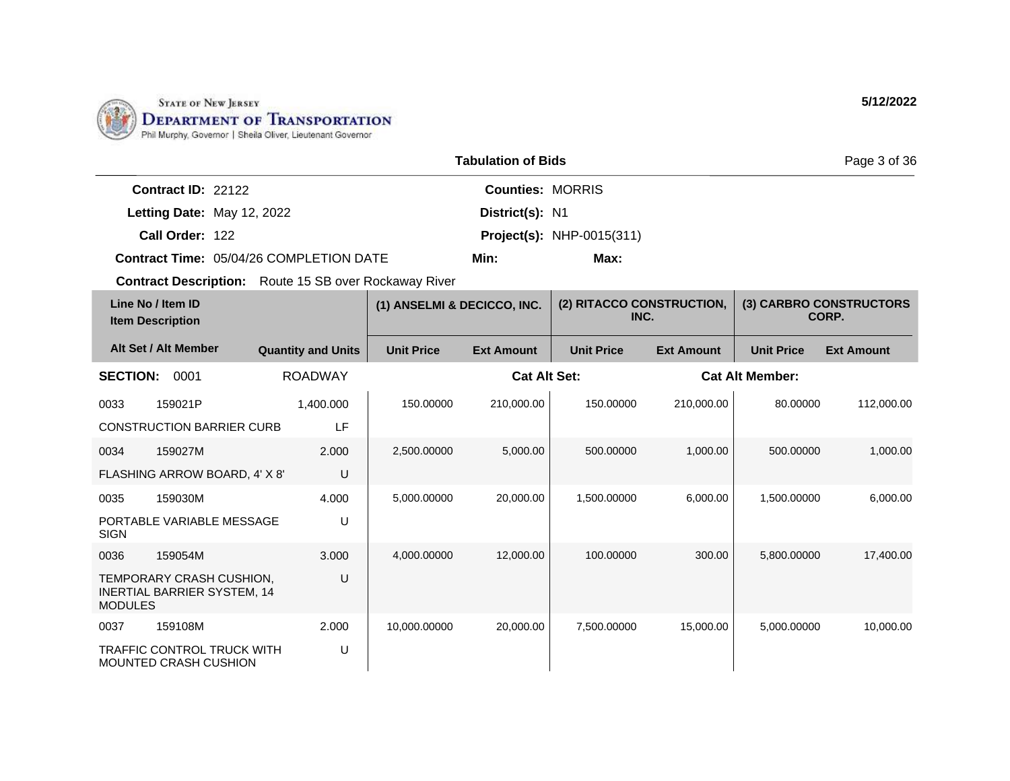

|                      |                                                | Page 3 of 36            |                                  |  |
|----------------------|------------------------------------------------|-------------------------|----------------------------------|--|
| Contract $ID: 22122$ |                                                | <b>Counties: MORRIS</b> |                                  |  |
|                      | Letting Date: May 12, 2022                     | District(s): N1         |                                  |  |
| Call Order: 122      |                                                |                         | <b>Project(s): NHP-0015(311)</b> |  |
|                      | <b>Contract Time: 05/04/26 COMPLETION DATE</b> | Min:                    | Max:                             |  |

| Line No / Item ID<br><b>Item Description</b> |                                                                   | (1) ANSELMI & DECICCO, INC. |                   | (2) RITACCO CONSTRUCTION,<br>INC. |                   | (3) CARBRO CONSTRUCTORS<br>CORP. |                        |                   |
|----------------------------------------------|-------------------------------------------------------------------|-----------------------------|-------------------|-----------------------------------|-------------------|----------------------------------|------------------------|-------------------|
|                                              | Alt Set / Alt Member                                              | <b>Quantity and Units</b>   | <b>Unit Price</b> | <b>Ext Amount</b>                 | <b>Unit Price</b> | <b>Ext Amount</b>                | <b>Unit Price</b>      | <b>Ext Amount</b> |
| <b>SECTION:</b>                              | 0001                                                              | <b>ROADWAY</b>              |                   | <b>Cat Alt Set:</b>               |                   |                                  | <b>Cat Alt Member:</b> |                   |
| 0033                                         | 159021P                                                           | 1,400.000                   | 150.00000         | 210,000.00                        | 150.00000         | 210,000.00                       | 80.00000               | 112,000.00        |
|                                              | <b>CONSTRUCTION BARRIER CURB</b>                                  | LF                          |                   |                                   |                   |                                  |                        |                   |
| 0034                                         | 159027M                                                           | 2.000                       | 2,500.00000       | 5,000.00                          | 500.00000         | 1,000.00                         | 500.00000              | 1,000.00          |
|                                              | FLASHING ARROW BOARD, 4' X 8'                                     | U                           |                   |                                   |                   |                                  |                        |                   |
| 0035                                         | 159030M                                                           | 4.000                       | 5,000.00000       | 20,000.00                         | 1,500.00000       | 6,000.00                         | 1,500.00000            | 6,000.00          |
| <b>SIGN</b>                                  | PORTABLE VARIABLE MESSAGE                                         | U                           |                   |                                   |                   |                                  |                        |                   |
| 0036                                         | 159054M                                                           | 3.000                       | 4,000.00000       | 12,000.00                         | 100.00000         | 300.00                           | 5,800.00000            | 17,400.00         |
| <b>MODULES</b>                               | TEMPORARY CRASH CUSHION,<br><b>INERTIAL BARRIER SYSTEM, 14</b>    | U                           |                   |                                   |                   |                                  |                        |                   |
| 0037                                         | 159108M                                                           | 2.000                       | 10,000.00000      | 20,000.00                         | 7,500.00000       | 15,000.00                        | 5.000.00000            | 10,000.00         |
|                                              | <b>TRAFFIC CONTROL TRUCK WITH</b><br><b>MOUNTED CRASH CUSHION</b> | U                           |                   |                                   |                   |                                  |                        |                   |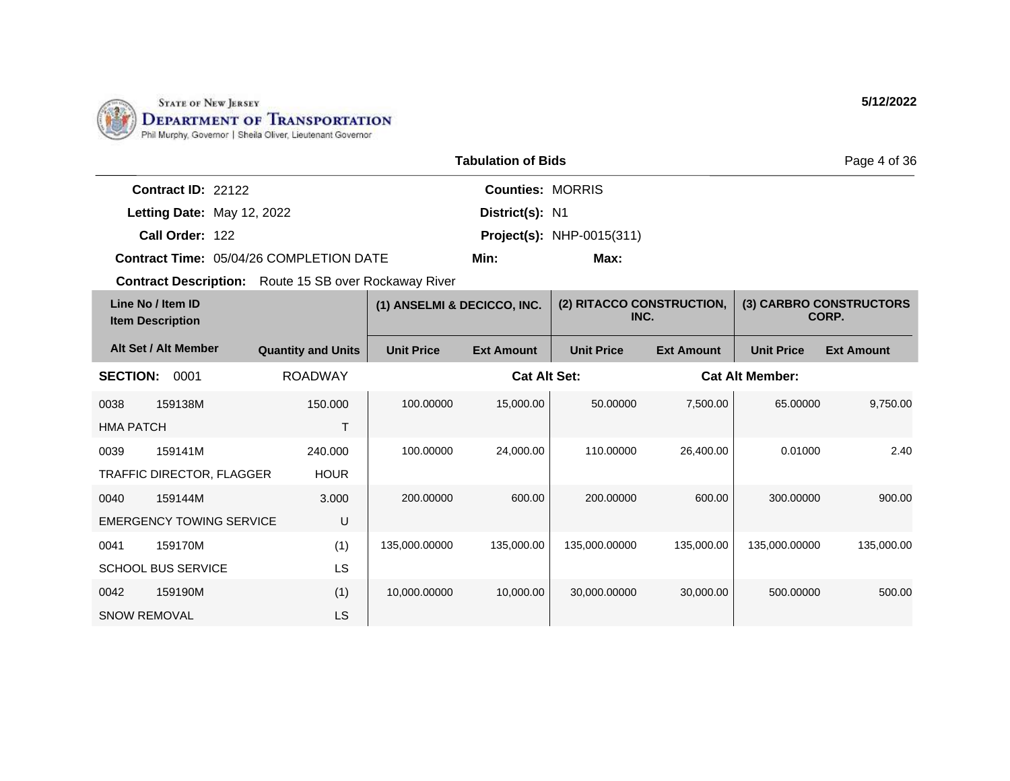

|                    |                                         | Page 4 of 36            |                                  |  |
|--------------------|-----------------------------------------|-------------------------|----------------------------------|--|
| Contract ID: 22122 |                                         | <b>Counties: MORRIS</b> |                                  |  |
|                    | Letting Date: May 12, 2022              | District(s): N1         |                                  |  |
| Call Order: 122    |                                         |                         | <b>Project(s): NHP-0015(311)</b> |  |
|                    | Contract Time: 05/04/26 COMPLETION DATE | Min:                    | Max:                             |  |

| Line No / Item ID<br><b>Item Description</b> |                                 | (1) ANSELMI & DECICCO, INC. |                     | (2) RITACCO CONSTRUCTION,<br>INC. |                        | (3) CARBRO CONSTRUCTORS<br>CORP. |                   |                   |
|----------------------------------------------|---------------------------------|-----------------------------|---------------------|-----------------------------------|------------------------|----------------------------------|-------------------|-------------------|
|                                              | Alt Set / Alt Member            | <b>Quantity and Units</b>   | <b>Unit Price</b>   | <b>Ext Amount</b>                 | <b>Unit Price</b>      | <b>Ext Amount</b>                | <b>Unit Price</b> | <b>Ext Amount</b> |
| <b>ROADWAY</b><br><b>SECTION:</b><br>0001    |                                 |                             | <b>Cat Alt Set:</b> |                                   | <b>Cat Alt Member:</b> |                                  |                   |                   |
| 0038                                         | 159138M                         | 150,000                     | 100.00000           | 15,000.00                         | 50.00000               | 7,500.00                         | 65.00000          | 9,750.00          |
| <b>HMA PATCH</b>                             |                                 | T                           |                     |                                   |                        |                                  |                   |                   |
| 0039                                         | 159141M                         | 240.000                     | 100.00000           | 24,000.00                         | 110.00000              | 26,400.00                        | 0.01000           | 2.40              |
|                                              | TRAFFIC DIRECTOR, FLAGGER       | <b>HOUR</b>                 |                     |                                   |                        |                                  |                   |                   |
| 0040                                         | 159144M                         | 3.000                       | 200.00000           | 600.00                            | 200.00000              | 600.00                           | 300.00000         | 900.00            |
|                                              | <b>EMERGENCY TOWING SERVICE</b> | U                           |                     |                                   |                        |                                  |                   |                   |
| 0041                                         | 159170M                         | (1)                         | 135,000.00000       | 135,000.00                        | 135,000.00000          | 135,000.00                       | 135,000.00000     | 135,000.00        |
|                                              | <b>SCHOOL BUS SERVICE</b>       | LS                          |                     |                                   |                        |                                  |                   |                   |
| 0042                                         | 159190M                         | (1)                         | 10,000.00000        | 10,000.00                         | 30,000.00000           | 30,000.00                        | 500.00000         | 500.00            |
| <b>SNOW REMOVAL</b>                          |                                 | LS                          |                     |                                   |                        |                                  |                   |                   |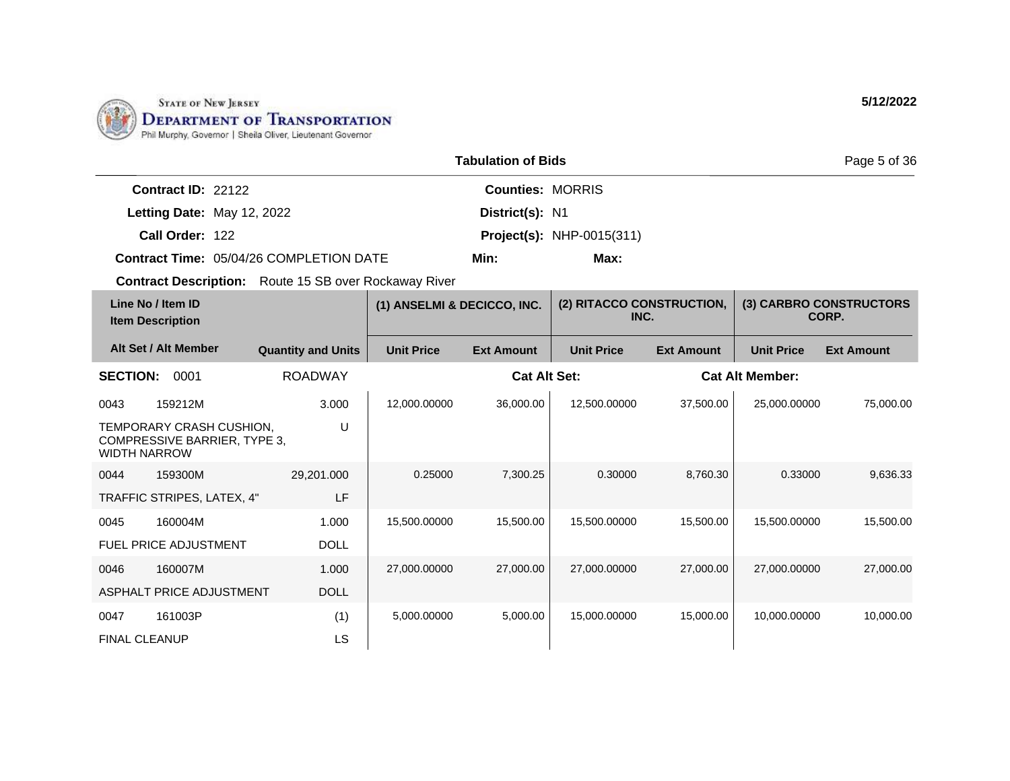

|                                                | <b>Tabulation of Bids</b> |                                  |  |  |  |
|------------------------------------------------|---------------------------|----------------------------------|--|--|--|
| Contract $ID: 22122$                           | <b>Counties: MORRIS</b>   |                                  |  |  |  |
| Letting Date: May 12, 2022                     | District(s): N1           |                                  |  |  |  |
| Call Order: 122                                |                           | <b>Project(s):</b> NHP-0015(311) |  |  |  |
| <b>Contract Time: 05/04/26 COMPLETION DATE</b> | Min:                      | Max:                             |  |  |  |

| Line No / Item ID<br><b>Item Description</b> |                                                          | (1) ANSELMI & DECICCO, INC. |                   | (2) RITACCO CONSTRUCTION,<br>INC. |                   | (3) CARBRO CONSTRUCTORS<br>CORP. |                        |                   |
|----------------------------------------------|----------------------------------------------------------|-----------------------------|-------------------|-----------------------------------|-------------------|----------------------------------|------------------------|-------------------|
|                                              | Alt Set / Alt Member                                     | <b>Quantity and Units</b>   | <b>Unit Price</b> | <b>Ext Amount</b>                 | <b>Unit Price</b> | <b>Ext Amount</b>                | <b>Unit Price</b>      | <b>Ext Amount</b> |
| <b>SECTION:</b>                              | 0001                                                     | <b>ROADWAY</b>              |                   | <b>Cat Alt Set:</b>               |                   |                                  | <b>Cat Alt Member:</b> |                   |
| 0043                                         | 159212M                                                  | 3.000                       | 12,000.00000      | 36,000.00                         | 12,500.00000      | 37,500.00                        | 25,000.00000           | 75,000.00         |
| <b>WIDTH NARROW</b>                          | TEMPORARY CRASH CUSHION,<br>COMPRESSIVE BARRIER, TYPE 3, | U                           |                   |                                   |                   |                                  |                        |                   |
| 0044                                         | 159300M                                                  | 29,201.000                  | 0.25000           | 7,300.25                          | 0.30000           | 8,760.30                         | 0.33000                | 9,636.33          |
|                                              | TRAFFIC STRIPES, LATEX, 4"                               | LF                          |                   |                                   |                   |                                  |                        |                   |
| 0045                                         | 160004M                                                  | 1.000                       | 15,500.00000      | 15,500.00                         | 15,500.00000      | 15,500.00                        | 15,500.00000           | 15,500.00         |
|                                              | <b>FUEL PRICE ADJUSTMENT</b>                             | <b>DOLL</b>                 |                   |                                   |                   |                                  |                        |                   |
| 0046                                         | 160007M                                                  | 1.000                       | 27,000.00000      | 27,000.00                         | 27,000.00000      | 27,000.00                        | 27,000.00000           | 27,000.00         |
|                                              | <b>ASPHALT PRICE ADJUSTMENT</b>                          | <b>DOLL</b>                 |                   |                                   |                   |                                  |                        |                   |
| 0047                                         | 161003P                                                  | (1)                         | 5,000.00000       | 5,000.00                          | 15,000.00000      | 15,000.00                        | 10,000.00000           | 10,000.00         |
| <b>FINAL CLEANUP</b>                         |                                                          | LS                          |                   |                                   |                   |                                  |                        |                   |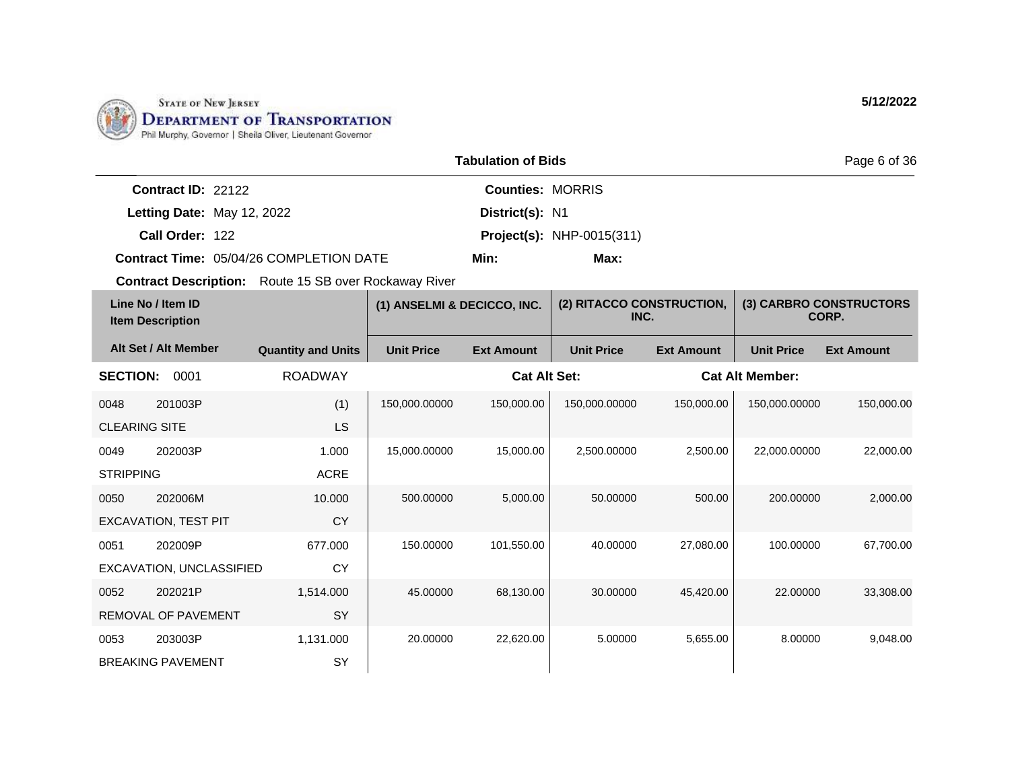

|                      |                                         | Page 6 of 36            |                                  |  |
|----------------------|-----------------------------------------|-------------------------|----------------------------------|--|
| Contract $ID: 22122$ |                                         | <b>Counties: MORRIS</b> |                                  |  |
|                      | Letting Date: May 12, 2022              | District(s): N1         |                                  |  |
| Call Order: 122      |                                         |                         | <b>Project(s): NHP-0015(311)</b> |  |
|                      | Contract Time: 05/04/26 COMPLETION DATE | Min:                    | Max:                             |  |

| Line No / Item ID<br><b>Item Description</b> |                             | (1) ANSELMI & DECICCO, INC. |                   | (2) RITACCO CONSTRUCTION,<br>INC. |                   | (3) CARBRO CONSTRUCTORS<br>CORP. |                        |                   |
|----------------------------------------------|-----------------------------|-----------------------------|-------------------|-----------------------------------|-------------------|----------------------------------|------------------------|-------------------|
|                                              | Alt Set / Alt Member        | <b>Quantity and Units</b>   | <b>Unit Price</b> | <b>Ext Amount</b>                 | <b>Unit Price</b> | <b>Ext Amount</b>                | <b>Unit Price</b>      | <b>Ext Amount</b> |
| <b>SECTION:</b>                              | 0001                        | <b>ROADWAY</b>              |                   | <b>Cat Alt Set:</b>               |                   |                                  | <b>Cat Alt Member:</b> |                   |
| 0048                                         | 201003P                     | (1)                         | 150,000.00000     | 150,000.00                        | 150,000.00000     | 150,000.00                       | 150,000.00000          | 150,000.00        |
| <b>CLEARING SITE</b>                         |                             | LS                          |                   |                                   |                   |                                  |                        |                   |
| 0049                                         | 202003P                     | 1.000                       | 15,000.00000      | 15,000.00                         | 2.500.00000       | 2,500.00                         | 22.000.00000           | 22,000.00         |
| <b>STRIPPING</b>                             |                             | <b>ACRE</b>                 |                   |                                   |                   |                                  |                        |                   |
| 0050                                         | 202006M                     | 10.000                      | 500.00000         | 5,000.00                          | 50.00000          | 500.00                           | 200.00000              | 2,000.00          |
|                                              | <b>EXCAVATION, TEST PIT</b> | <b>CY</b>                   |                   |                                   |                   |                                  |                        |                   |
| 0051                                         | 202009P                     | 677.000                     | 150.00000         | 101,550.00                        | 40.00000          | 27,080.00                        | 100.00000              | 67,700.00         |
|                                              | EXCAVATION, UNCLASSIFIED    | <b>CY</b>                   |                   |                                   |                   |                                  |                        |                   |
| 0052                                         | 202021P                     | 1,514.000                   | 45.00000          | 68,130.00                         | 30.00000          | 45,420.00                        | 22,00000               | 33,308.00         |
|                                              | <b>REMOVAL OF PAVEMENT</b>  | <b>SY</b>                   |                   |                                   |                   |                                  |                        |                   |
| 0053                                         | 203003P                     | 1,131.000                   | 20.00000          | 22,620.00                         | 5.00000           | 5,655.00                         | 8.00000                | 9,048.00          |
|                                              | <b>BREAKING PAVEMENT</b>    | SY                          |                   |                                   |                   |                                  |                        |                   |

**5/12/2022**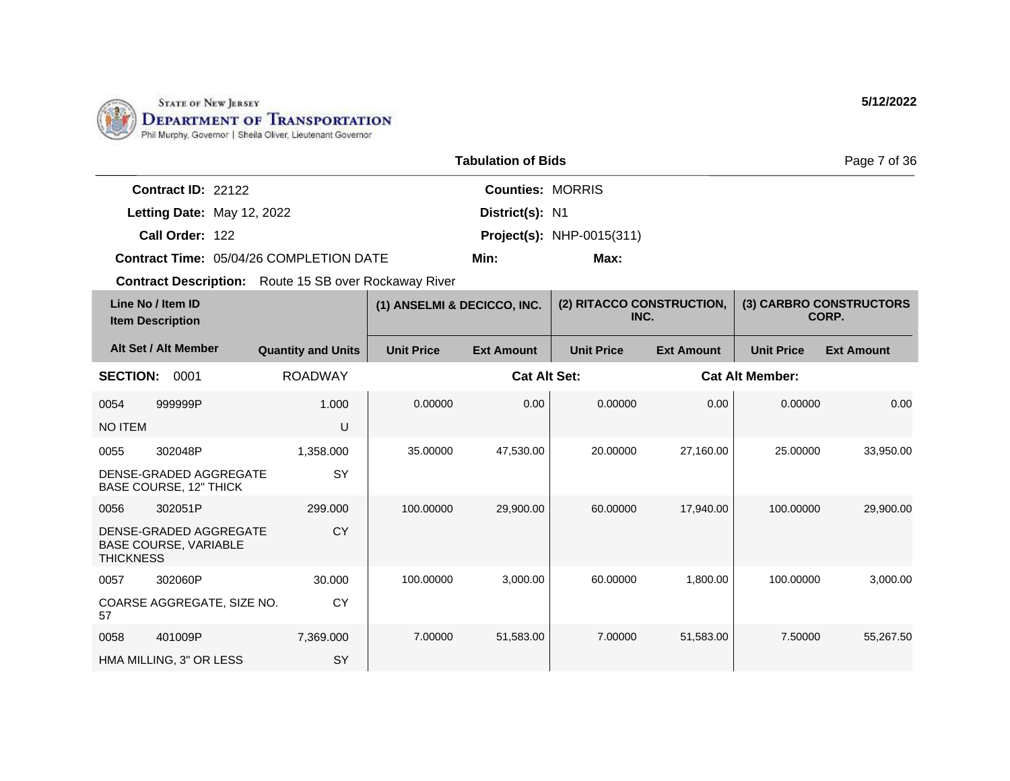

|                      |                                         | <b>Tabulation of Bids</b> |                                  | Page 7 of 36 |
|----------------------|-----------------------------------------|---------------------------|----------------------------------|--------------|
| Contract $ID: 22122$ |                                         | <b>Counties: MORRIS</b>   |                                  |              |
|                      | Letting Date: May 12, 2022              | District(s): N1           |                                  |              |
| Call Order: 122      |                                         |                           | <b>Project(s):</b> NHP-0015(311) |              |
|                      | Contract Time: 05/04/26 COMPLETION DATE | Min:                      | Max:                             |              |

| Line No / Item ID<br><b>Item Description</b> |                                                         | (1) ANSELMI & DECICCO, INC. |                   | (2) RITACCO CONSTRUCTION,<br>INC. |                   | (3) CARBRO CONSTRUCTORS<br>CORP. |                        |                   |
|----------------------------------------------|---------------------------------------------------------|-----------------------------|-------------------|-----------------------------------|-------------------|----------------------------------|------------------------|-------------------|
|                                              | Alt Set / Alt Member                                    | <b>Quantity and Units</b>   | <b>Unit Price</b> | <b>Ext Amount</b>                 | <b>Unit Price</b> | <b>Ext Amount</b>                | <b>Unit Price</b>      | <b>Ext Amount</b> |
| <b>SECTION:</b>                              | 0001                                                    | <b>ROADWAY</b>              |                   | <b>Cat Alt Set:</b>               |                   |                                  | <b>Cat Alt Member:</b> |                   |
| 0054                                         | 999999P                                                 | 1.000                       | 0.00000           | 0.00                              | 0.00000           | 0.00                             | 0.00000                | 0.00              |
| NO ITEM                                      |                                                         | U                           |                   |                                   |                   |                                  |                        |                   |
| 0055                                         | 302048P                                                 | 1,358.000                   | 35.00000          | 47,530.00                         | 20.00000          | 27,160.00                        | 25,00000               | 33,950.00         |
|                                              | DENSE-GRADED AGGREGATE<br><b>BASE COURSE, 12" THICK</b> | SY                          |                   |                                   |                   |                                  |                        |                   |
| 0056                                         | 302051P                                                 | 299.000                     | 100.00000         | 29,900.00                         | 60.00000          | 17,940.00                        | 100.00000              | 29,900.00         |
| <b>THICKNESS</b>                             | DENSE-GRADED AGGREGATE<br><b>BASE COURSE, VARIABLE</b>  | <b>CY</b>                   |                   |                                   |                   |                                  |                        |                   |
| 0057                                         | 302060P                                                 | 30,000                      | 100.00000         | 3,000.00                          | 60.00000          | 1,800.00                         | 100.00000              | 3,000.00          |
| 57                                           | COARSE AGGREGATE, SIZE NO.                              | <b>CY</b>                   |                   |                                   |                   |                                  |                        |                   |
| 0058                                         | 401009P                                                 | 7,369.000                   | 7.00000           | 51,583.00                         | 7.00000           | 51,583.00                        | 7.50000                | 55,267.50         |
|                                              | HMA MILLING, 3" OR LESS                                 | SY                          |                   |                                   |                   |                                  |                        |                   |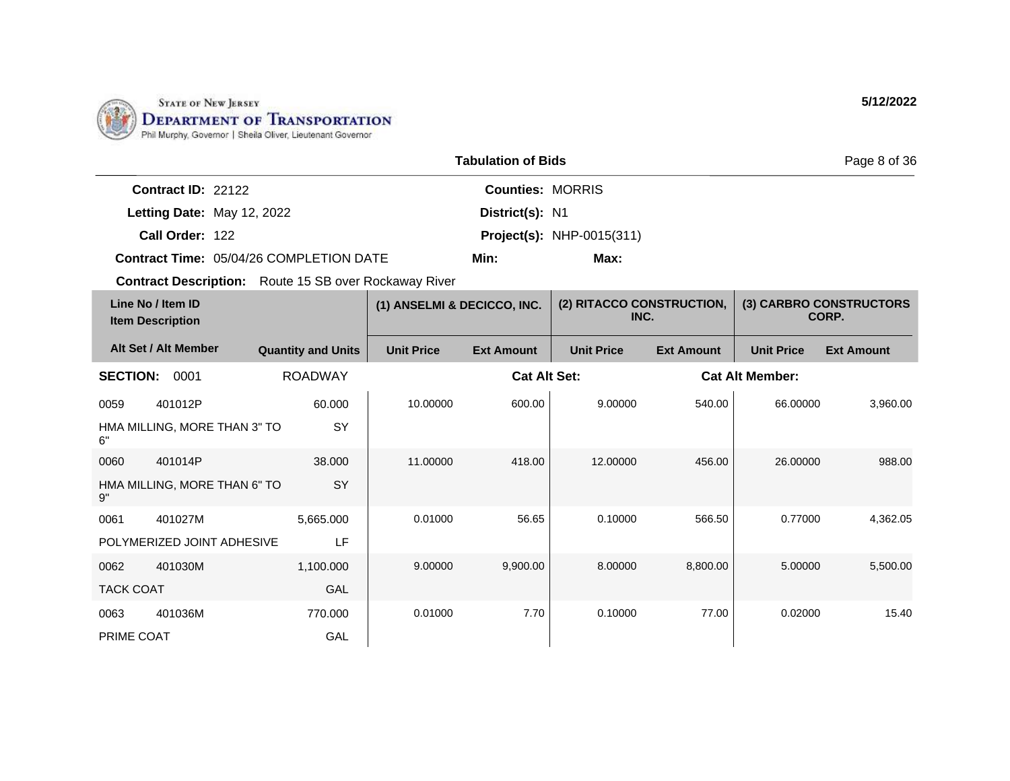

|                                                | <b>Tabulation of Bids</b> |                                  |  |  |  |
|------------------------------------------------|---------------------------|----------------------------------|--|--|--|
| <b>Contract ID: 22122</b>                      | <b>Counties: MORRIS</b>   |                                  |  |  |  |
| Letting Date: May 12, 2022                     | District(s): N1           |                                  |  |  |  |
| Call Order: 122                                |                           | <b>Project(s): NHP-0015(311)</b> |  |  |  |
| <b>Contract Time: 05/04/26 COMPLETION DATE</b> | Min:                      | Max:                             |  |  |  |

| Line No / Item ID<br><b>Item Description</b> |                              | (1) ANSELMI & DECICCO, INC. |                   | (2) RITACCO CONSTRUCTION,<br>INC. |                   | (3) CARBRO CONSTRUCTORS<br>CORP. |                        |                   |
|----------------------------------------------|------------------------------|-----------------------------|-------------------|-----------------------------------|-------------------|----------------------------------|------------------------|-------------------|
|                                              | Alt Set / Alt Member         | <b>Quantity and Units</b>   | <b>Unit Price</b> | <b>Ext Amount</b>                 | <b>Unit Price</b> | <b>Ext Amount</b>                | <b>Unit Price</b>      | <b>Ext Amount</b> |
| <b>SECTION:</b>                              | 0001                         | <b>ROADWAY</b>              |                   | <b>Cat Alt Set:</b>               |                   |                                  | <b>Cat Alt Member:</b> |                   |
| 0059                                         | 401012P                      | 60.000                      | 10.00000          | 600.00                            | 9.00000           | 540.00                           | 66.00000               | 3,960.00          |
| 6"                                           | HMA MILLING, MORE THAN 3" TO | SY                          |                   |                                   |                   |                                  |                        |                   |
| 0060                                         | 401014P                      | 38.000                      | 11.00000          | 418.00                            | 12.00000          | 456.00                           | 26.00000               | 988.00            |
| 9"                                           | HMA MILLING, MORE THAN 6" TO | SY                          |                   |                                   |                   |                                  |                        |                   |
| 0061                                         | 401027M                      | 5,665.000                   | 0.01000           | 56.65                             | 0.10000           | 566.50                           | 0.77000                | 4,362.05          |
|                                              | POLYMERIZED JOINT ADHESIVE   | LF                          |                   |                                   |                   |                                  |                        |                   |
| 0062                                         | 401030M                      | 1,100.000                   | 9.00000           | 9,900.00                          | 8.00000           | 8,800.00                         | 5.00000                | 5,500.00          |
| <b>TACK COAT</b>                             |                              | <b>GAL</b>                  |                   |                                   |                   |                                  |                        |                   |
| 0063                                         | 401036M                      | 770.000                     | 0.01000           | 7.70                              | 0.10000           | 77.00                            | 0.02000                | 15.40             |
| PRIME COAT                                   |                              | GAL                         |                   |                                   |                   |                                  |                        |                   |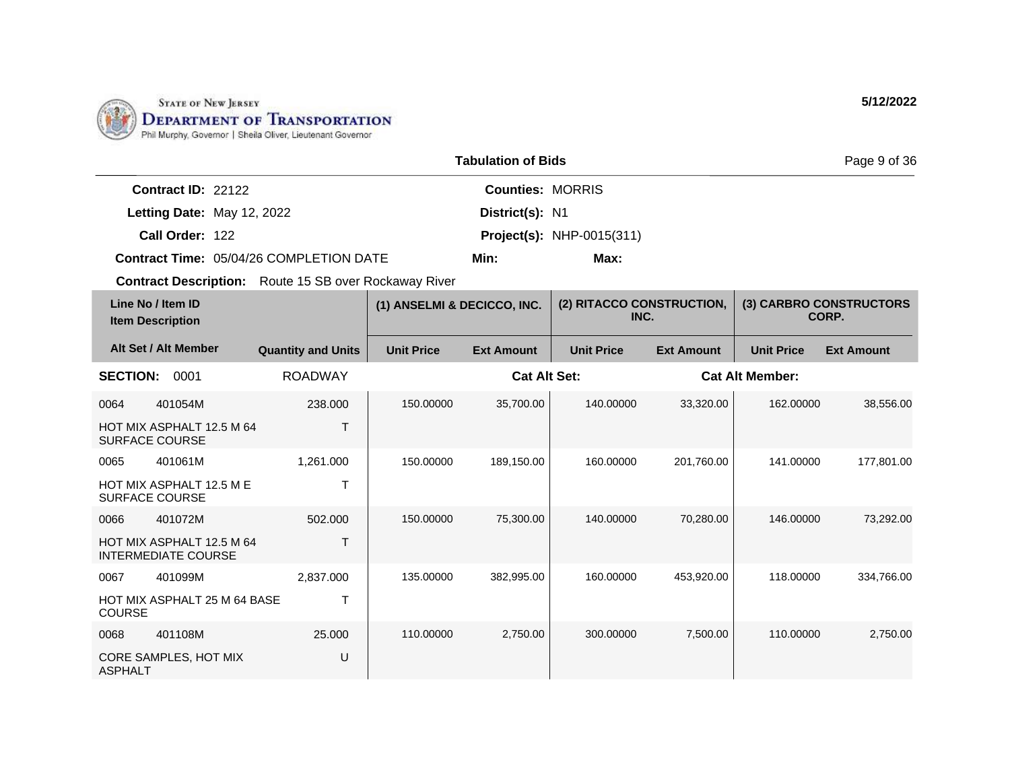

|                      |                                         | <b>Tabulation of Bids</b> |                                  | Page 9 of 36 |
|----------------------|-----------------------------------------|---------------------------|----------------------------------|--------------|
| Contract $ID: 22122$ |                                         | <b>Counties: MORRIS</b>   |                                  |              |
|                      | Letting Date: May 12, 2022              | District(s): N1           |                                  |              |
| Call Order: 122      |                                         |                           | <b>Project(s): NHP-0015(311)</b> |              |
|                      | Contract Time: 05/04/26 COMPLETION DATE | Min:                      | Max:                             |              |

| Line No / Item ID<br><b>Item Description</b> |                                                         | (1) ANSELMI & DECICCO, INC. |                   | (2) RITACCO CONSTRUCTION,<br>INC. |                   | (3) CARBRO CONSTRUCTORS<br>CORP. |                        |                   |
|----------------------------------------------|---------------------------------------------------------|-----------------------------|-------------------|-----------------------------------|-------------------|----------------------------------|------------------------|-------------------|
|                                              | Alt Set / Alt Member                                    | <b>Quantity and Units</b>   | <b>Unit Price</b> | <b>Ext Amount</b>                 | <b>Unit Price</b> | <b>Ext Amount</b>                | <b>Unit Price</b>      | <b>Ext Amount</b> |
| <b>SECTION:</b>                              | 0001                                                    | <b>ROADWAY</b>              |                   | <b>Cat Alt Set:</b>               |                   |                                  | <b>Cat Alt Member:</b> |                   |
| 0064                                         | 401054M                                                 | 238.000                     | 150.00000         | 35,700.00                         | 140.00000         | 33,320.00                        | 162.00000              | 38,556.00         |
|                                              | HOT MIX ASPHALT 12.5 M 64<br><b>SURFACE COURSE</b>      |                             |                   |                                   |                   |                                  |                        |                   |
| 0065                                         | 401061M                                                 | 1,261.000                   | 150.00000         | 189,150.00                        | 160.00000         | 201,760.00                       | 141.00000              | 177,801.00        |
|                                              | HOT MIX ASPHALT 12.5 M E<br><b>SURFACE COURSE</b>       |                             |                   |                                   |                   |                                  |                        |                   |
| 0066                                         | 401072M                                                 | 502.000                     | 150.00000         | 75,300.00                         | 140.00000         | 70,280.00                        | 146.00000              | 73,292.00         |
|                                              | HOT MIX ASPHALT 12.5 M 64<br><b>INTERMEDIATE COURSE</b> |                             |                   |                                   |                   |                                  |                        |                   |
| 0067                                         | 401099M                                                 | 2,837.000                   | 135.00000         | 382,995.00                        | 160.00000         | 453,920.00                       | 118,00000              | 334,766.00        |
| COURSE                                       | <b>HOT MIX ASPHALT 25 M 64 BASE</b>                     | T                           |                   |                                   |                   |                                  |                        |                   |
| 0068                                         | 401108M                                                 | 25,000                      | 110.00000         | 2,750.00                          | 300.00000         | 7,500.00                         | 110.00000              | 2,750.00          |
| <b>ASPHALT</b>                               | CORE SAMPLES, HOT MIX                                   | U                           |                   |                                   |                   |                                  |                        |                   |

**5/12/2022**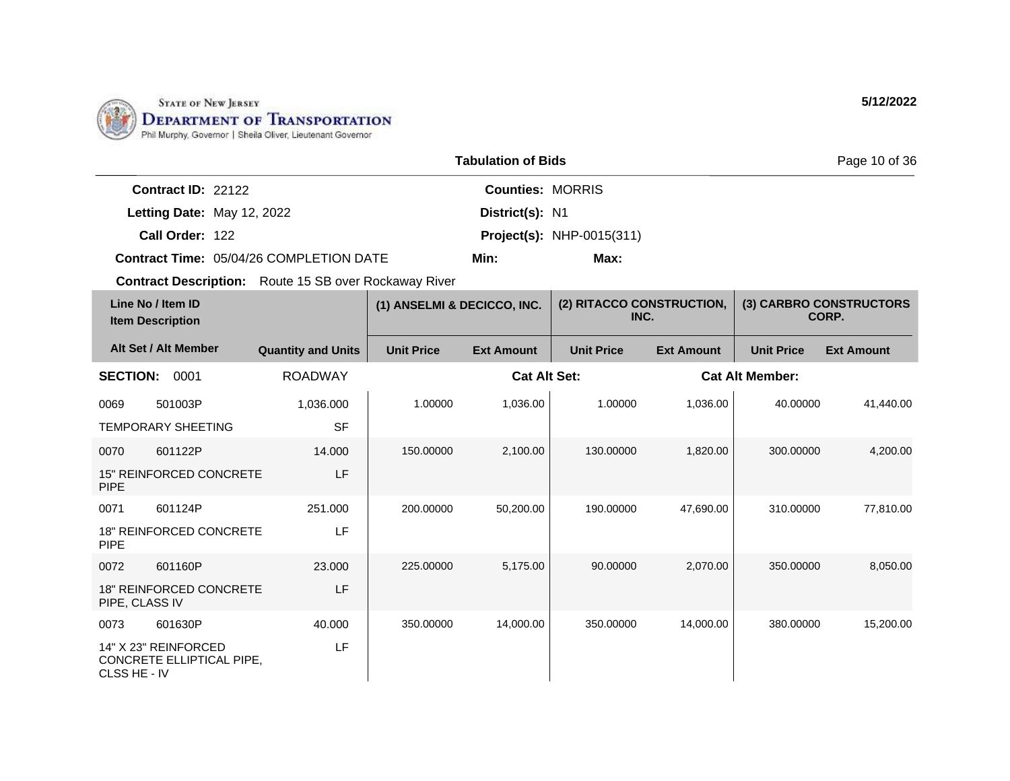

|                                         | <b>Tabulation of Bids</b> |                                  | Page 10 of 36 |
|-----------------------------------------|---------------------------|----------------------------------|---------------|
| Contract $ID: 22122$                    | <b>Counties: MORRIS</b>   |                                  |               |
| Letting Date: May 12, 2022              | District(s): N1           |                                  |               |
| Call Order: 122                         |                           | <b>Project(s): NHP-0015(311)</b> |               |
| Contract Time: 05/04/26 COMPLETION DATE | Min:                      | Max:                             |               |

| Line No / Item ID<br><b>Item Description</b> |                                                   | (1) ANSELMI & DECICCO, INC. |                   | (2) RITACCO CONSTRUCTION,<br>INC. |                   | (3) CARBRO CONSTRUCTORS<br>CORP. |                   |                        |  |
|----------------------------------------------|---------------------------------------------------|-----------------------------|-------------------|-----------------------------------|-------------------|----------------------------------|-------------------|------------------------|--|
|                                              | Alt Set / Alt Member                              | <b>Quantity and Units</b>   | <b>Unit Price</b> | <b>Ext Amount</b>                 | <b>Unit Price</b> | <b>Ext Amount</b>                | <b>Unit Price</b> | <b>Ext Amount</b>      |  |
| <b>SECTION:</b>                              | 0001                                              | <b>ROADWAY</b>              |                   | <b>Cat Alt Set:</b>               |                   |                                  |                   | <b>Cat Alt Member:</b> |  |
| 0069                                         | 501003P                                           | 1,036.000                   | 1.00000           | 1,036.00                          | 1.00000           | 1,036.00                         | 40.00000          | 41,440.00              |  |
|                                              | <b>TEMPORARY SHEETING</b>                         | <b>SF</b>                   |                   |                                   |                   |                                  |                   |                        |  |
| 0070                                         | 601122P                                           | 14.000                      | 150.00000         | 2,100.00                          | 130.00000         | 1,820.00                         | 300.00000         | 4,200.00               |  |
| <b>PIPE</b>                                  | <b>15" REINFORCED CONCRETE</b>                    | LF                          |                   |                                   |                   |                                  |                   |                        |  |
| 0071                                         | 601124P                                           | 251.000                     | 200.00000         | 50,200.00                         | 190.00000         | 47,690.00                        | 310.00000         | 77,810.00              |  |
| <b>PIPE</b>                                  | <b>18" REINFORCED CONCRETE</b>                    | LF                          |                   |                                   |                   |                                  |                   |                        |  |
| 0072                                         | 601160P                                           | 23,000                      | 225,00000         | 5,175.00                          | 90.00000          | 2,070.00                         | 350,00000         | 8,050.00               |  |
| PIPE, CLASS IV                               | <b>18" REINFORCED CONCRETE</b>                    | LF                          |                   |                                   |                   |                                  |                   |                        |  |
| 0073                                         | 601630P                                           | 40.000                      | 350.00000         | 14,000.00                         | 350.00000         | 14,000.00                        | 380.00000         | 15,200.00              |  |
| CLSS HE - IV                                 | 14" X 23" REINFORCED<br>CONCRETE ELLIPTICAL PIPE, | LF                          |                   |                                   |                   |                                  |                   |                        |  |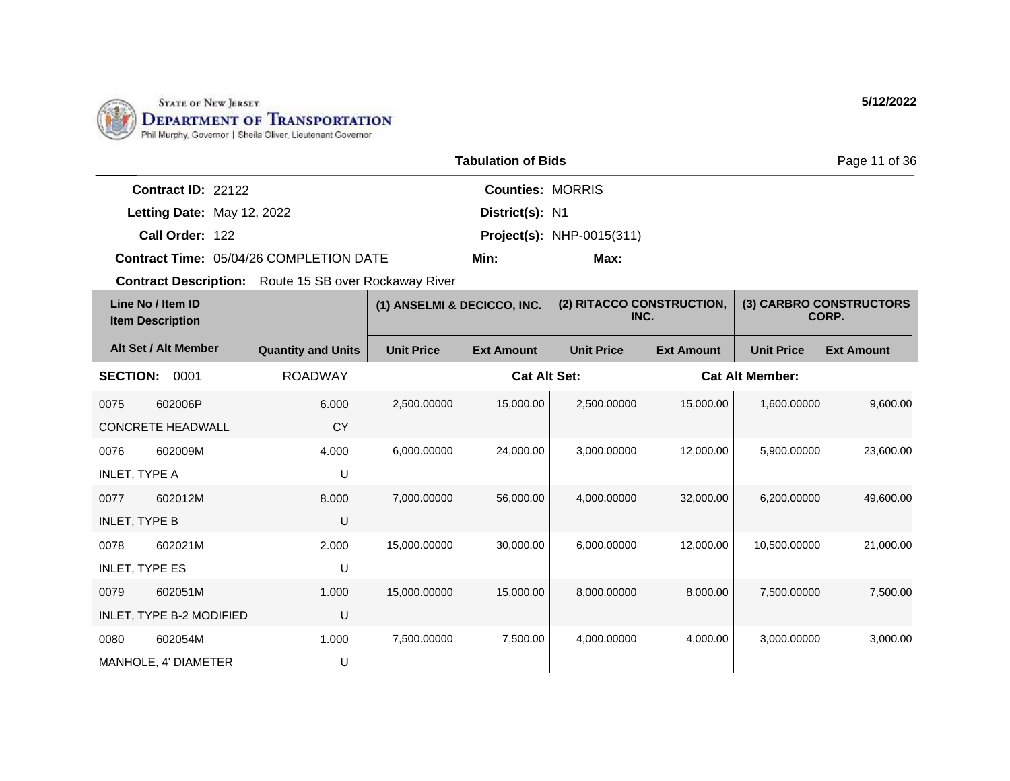

|                    |                                                | <b>Tabulation of Bids</b> |                                  | Page 11 of 36 |
|--------------------|------------------------------------------------|---------------------------|----------------------------------|---------------|
| Contract ID: 22122 |                                                | <b>Counties: MORRIS</b>   |                                  |               |
|                    | Letting Date: May 12, 2022                     | District(s): N1           |                                  |               |
| Call Order: 122    |                                                |                           | <b>Project(s):</b> NHP-0015(311) |               |
|                    | <b>Contract Time: 05/04/26 COMPLETION DATE</b> | Min:                      | Max:                             |               |

| Line No / Item ID<br><b>Item Description</b> |                          | (1) ANSELMI & DECICCO, INC. |                   | (2) RITACCO CONSTRUCTION,<br>INC. |                   | (3) CARBRO CONSTRUCTORS<br>CORP. |                        |                   |
|----------------------------------------------|--------------------------|-----------------------------|-------------------|-----------------------------------|-------------------|----------------------------------|------------------------|-------------------|
|                                              | Alt Set / Alt Member     | <b>Quantity and Units</b>   | <b>Unit Price</b> | <b>Ext Amount</b>                 | <b>Unit Price</b> | <b>Ext Amount</b>                | <b>Unit Price</b>      | <b>Ext Amount</b> |
| <b>SECTION:</b>                              | 0001                     | <b>ROADWAY</b>              |                   | <b>Cat Alt Set:</b>               |                   |                                  | <b>Cat Alt Member:</b> |                   |
| 0075                                         | 602006P                  | 6.000                       | 2,500.00000       | 15,000.00                         | 2,500.00000       | 15,000.00                        | 1,600.00000            | 9,600.00          |
|                                              | <b>CONCRETE HEADWALL</b> | <b>CY</b>                   |                   |                                   |                   |                                  |                        |                   |
| 0076                                         | 602009M                  | 4.000                       | 6,000.00000       | 24,000.00                         | 3.000.00000       | 12,000.00                        | 5.900.00000            | 23,600.00         |
| INLET, TYPE A                                |                          | U                           |                   |                                   |                   |                                  |                        |                   |
| 0077                                         | 602012M                  | 8.000                       | 7,000.00000       | 56,000.00                         | 4.000.00000       | 32,000.00                        | 6.200.00000            | 49,600.00         |
| <b>INLET, TYPE B</b>                         |                          | U                           |                   |                                   |                   |                                  |                        |                   |
| 0078                                         | 602021M                  | 2.000                       | 15,000.00000      | 30,000.00                         | 6.000.00000       | 12,000.00                        | 10.500.00000           | 21,000.00         |
| <b>INLET, TYPE ES</b>                        |                          | U                           |                   |                                   |                   |                                  |                        |                   |
| 0079                                         | 602051M                  | 1.000                       | 15,000.00000      | 15,000.00                         | 8.000.00000       | 8,000.00                         | 7.500.00000            | 7,500.00          |
|                                              | INLET, TYPE B-2 MODIFIED | U                           |                   |                                   |                   |                                  |                        |                   |
| 0080                                         | 602054M                  | 1.000                       | 7,500.00000       | 7,500.00                          | 4,000.00000       | 4,000.00                         | 3,000.00000            | 3,000.00          |
|                                              | MANHOLE, 4' DIAMETER     | U                           |                   |                                   |                   |                                  |                        |                   |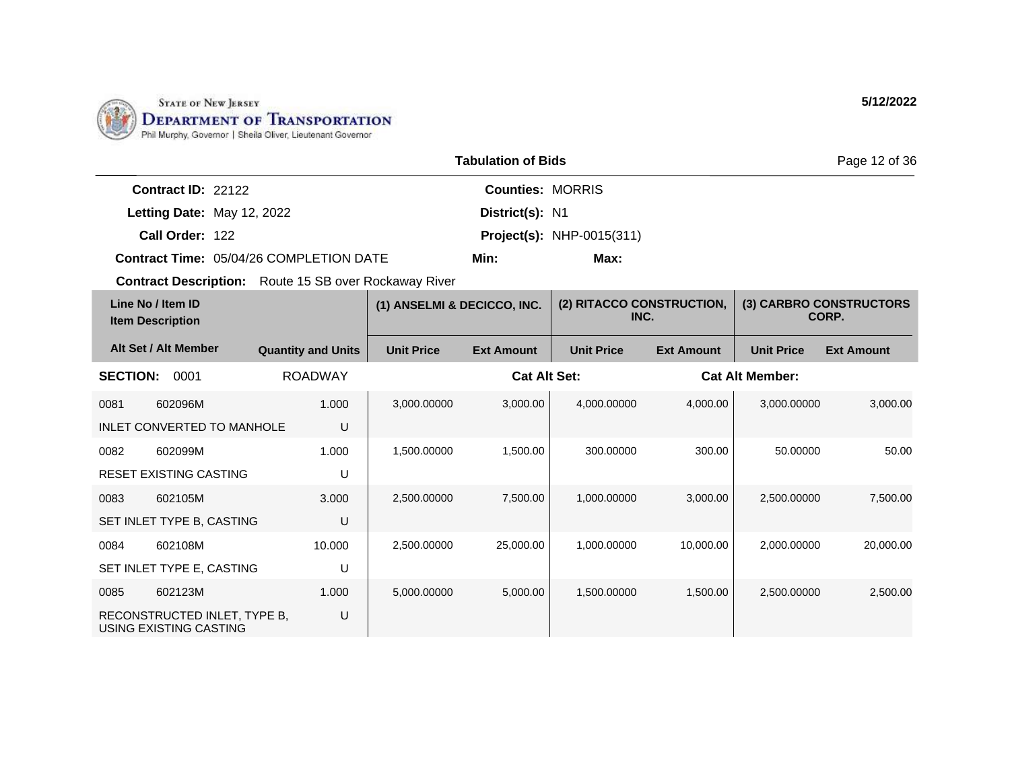

|                                                | <b>Tabulation of Bids</b> |                                  |  |  |  |
|------------------------------------------------|---------------------------|----------------------------------|--|--|--|
| <b>Contract ID: 22122</b>                      | <b>Counties: MORRIS</b>   |                                  |  |  |  |
| Letting Date: May 12, 2022                     | District(s): N1           |                                  |  |  |  |
| Call Order: 122                                |                           | <b>Project(s): NHP-0015(311)</b> |  |  |  |
| <b>Contract Time: 05/04/26 COMPLETION DATE</b> | Min:                      | Max:                             |  |  |  |

| Line No / Item ID<br><b>Item Description</b> |                                                        | (1) ANSELMI & DECICCO, INC. |                   | (2) RITACCO CONSTRUCTION,<br>INC. |                   | (3) CARBRO CONSTRUCTORS<br>CORP. |                        |                   |
|----------------------------------------------|--------------------------------------------------------|-----------------------------|-------------------|-----------------------------------|-------------------|----------------------------------|------------------------|-------------------|
|                                              | Alt Set / Alt Member                                   | <b>Quantity and Units</b>   | <b>Unit Price</b> | <b>Ext Amount</b>                 | <b>Unit Price</b> | <b>Ext Amount</b>                | <b>Unit Price</b>      | <b>Ext Amount</b> |
| <b>SECTION:</b>                              | 0001                                                   | <b>ROADWAY</b>              |                   | <b>Cat Alt Set:</b>               |                   |                                  | <b>Cat Alt Member:</b> |                   |
| 0081                                         | 602096M                                                | 1.000                       | 3,000.00000       | 3,000.00                          | 4,000.00000       | 4,000.00                         | 3,000.00000            | 3,000.00          |
|                                              | <b>INLET CONVERTED TO MANHOLE</b>                      | U                           |                   |                                   |                   |                                  |                        |                   |
| 0082                                         | 602099M                                                | 1.000                       | 1,500.00000       | 1,500.00                          | 300.00000         | 300.00                           | 50.00000               | 50.00             |
|                                              | <b>RESET EXISTING CASTING</b>                          | U                           |                   |                                   |                   |                                  |                        |                   |
| 0083                                         | 602105M                                                | 3.000                       | 2,500.00000       | 7,500.00                          | 1,000.00000       | 3,000.00                         | 2,500.00000            | 7,500.00          |
|                                              | SET INLET TYPE B, CASTING                              | U                           |                   |                                   |                   |                                  |                        |                   |
| 0084                                         | 602108M                                                | 10.000                      | 2,500.00000       | 25,000.00                         | 1,000.00000       | 10,000.00                        | 2,000.00000            | 20,000.00         |
|                                              | SET INLET TYPE E, CASTING                              | U                           |                   |                                   |                   |                                  |                        |                   |
| 0085                                         | 602123M                                                | 1.000                       | 5,000.00000       | 5,000.00                          | 1,500.00000       | 1,500.00                         | 2,500.00000            | 2,500.00          |
|                                              | RECONSTRUCTED INLET, TYPE B,<br>USING EXISTING CASTING | U                           |                   |                                   |                   |                                  |                        |                   |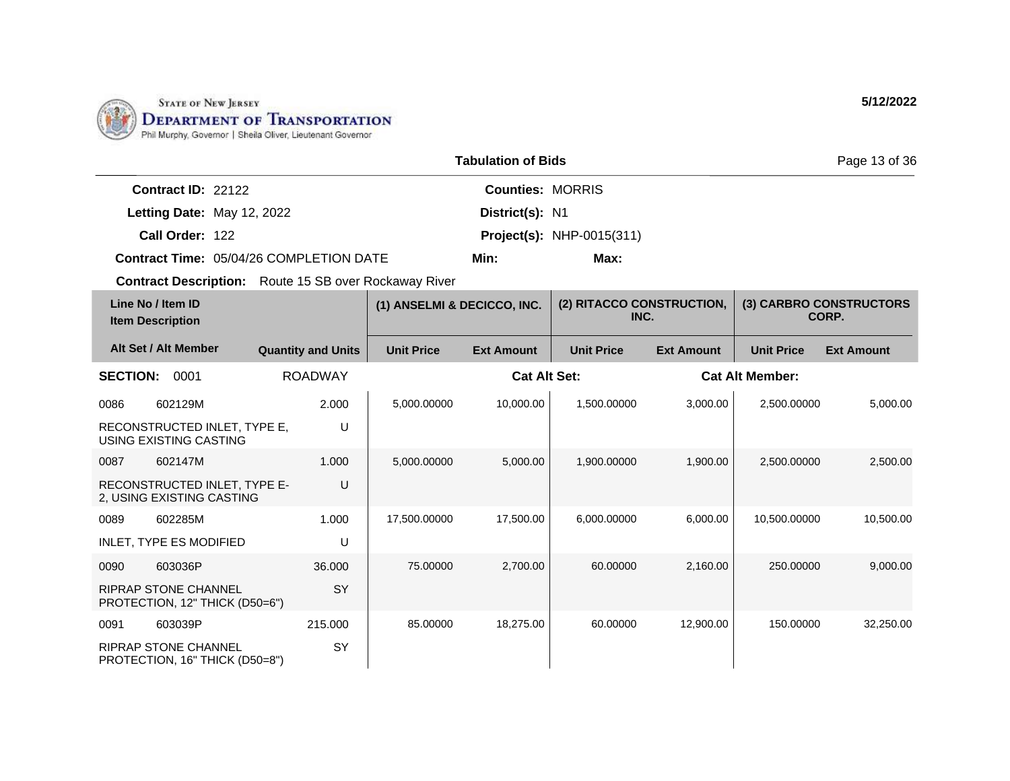

|                      |                                                | Page 13 of 36           |                                  |  |
|----------------------|------------------------------------------------|-------------------------|----------------------------------|--|
| Contract $ID: 22122$ |                                                | <b>Counties: MORRIS</b> |                                  |  |
|                      | Letting Date: May 12, 2022                     | District(s): N1         |                                  |  |
| Call Order: 122      |                                                |                         | <b>Project(s):</b> NHP-0015(311) |  |
|                      | <b>Contract Time: 05/04/26 COMPLETION DATE</b> | Min:                    | Max:                             |  |

| Line No / Item ID<br><b>Item Description</b>                  |                           | (1) ANSELMI & DECICCO, INC. |                     | (2) RITACCO CONSTRUCTION,<br>INC. |                   | (3) CARBRO CONSTRUCTORS<br>CORP. |                   |
|---------------------------------------------------------------|---------------------------|-----------------------------|---------------------|-----------------------------------|-------------------|----------------------------------|-------------------|
| Alt Set / Alt Member                                          | <b>Quantity and Units</b> | <b>Unit Price</b>           | <b>Ext Amount</b>   | <b>Unit Price</b>                 | <b>Ext Amount</b> | <b>Unit Price</b>                | <b>Ext Amount</b> |
| <b>SECTION:</b><br>0001                                       | <b>ROADWAY</b>            |                             | <b>Cat Alt Set:</b> |                                   |                   | <b>Cat Alt Member:</b>           |                   |
| 0086<br>602129M                                               | 2.000                     | 5,000.00000                 | 10,000.00           | 1,500.00000                       | 3,000.00          | 2,500.00000                      | 5,000.00          |
| RECONSTRUCTED INLET, TYPE E,<br>USING EXISTING CASTING        | U                         |                             |                     |                                   |                   |                                  |                   |
| 0087<br>602147M                                               | 1.000                     | 5,000.00000                 | 5,000.00            | 1,900.00000                       | 1,900.00          | 2,500.00000                      | 2,500.00          |
| RECONSTRUCTED INLET, TYPE E-<br>2, USING EXISTING CASTING     | U                         |                             |                     |                                   |                   |                                  |                   |
| 0089<br>602285M                                               | 1.000                     | 17,500.00000                | 17,500.00           | 6,000.00000                       | 6.000.00          | 10.500.00000                     | 10,500.00         |
| INLET, TYPE ES MODIFIED                                       | U                         |                             |                     |                                   |                   |                                  |                   |
| 0090<br>603036P                                               | 36.000                    | 75.00000                    | 2,700.00            | 60.00000                          | 2.160.00          | 250,00000                        | 9,000.00          |
| <b>RIPRAP STONE CHANNEL</b><br>PROTECTION, 12" THICK (D50=6") | SY                        |                             |                     |                                   |                   |                                  |                   |
| 603039P<br>0091                                               | 215.000                   | 85.00000                    | 18,275.00           | 60.00000                          | 12,900.00         | 150.00000                        | 32,250.00         |
| <b>RIPRAP STONE CHANNEL</b><br>PROTECTION, 16" THICK (D50=8") | SY                        |                             |                     |                                   |                   |                                  |                   |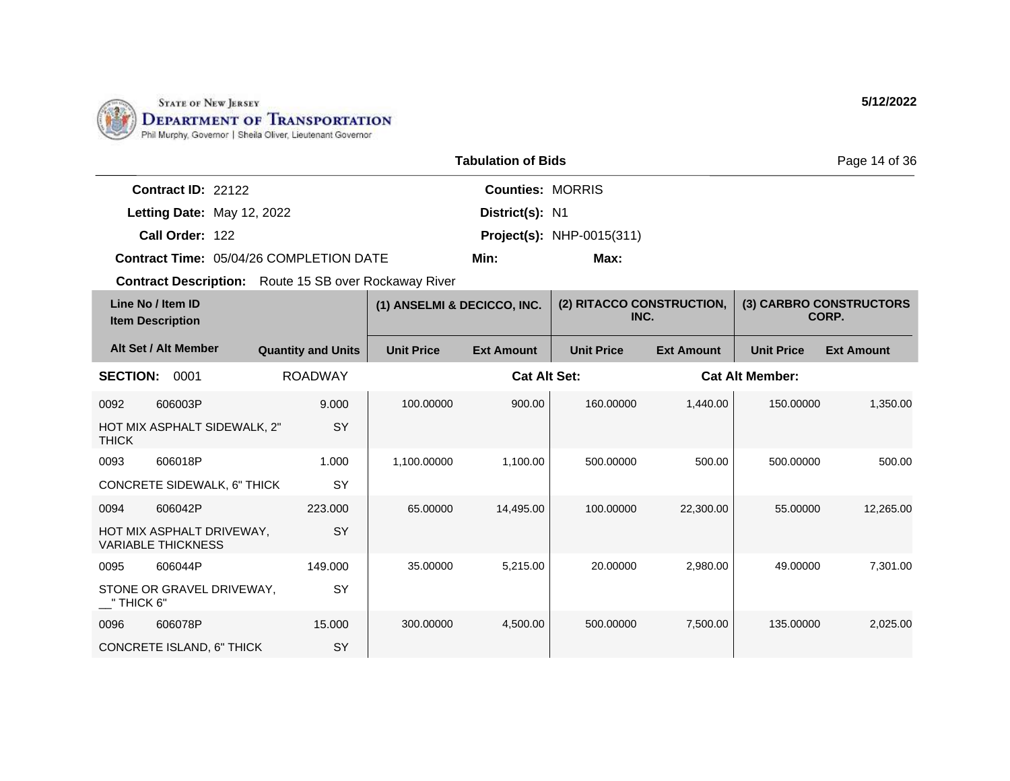

|                                         | <b>Tabulation of Bids</b> |                                  |  |  |  |
|-----------------------------------------|---------------------------|----------------------------------|--|--|--|
| Contract ID: 22122                      | <b>Counties: MORRIS</b>   |                                  |  |  |  |
| Letting Date: May 12, 2022              | District(s): N1           |                                  |  |  |  |
| Call Order: 122                         |                           | <b>Project(s):</b> NHP-0015(311) |  |  |  |
| Contract Time: 05/04/26 COMPLETION DATE | Min:                      | Max:                             |  |  |  |

| Line No / Item ID<br><b>Item Description</b> |                                                        | (1) ANSELMI & DECICCO, INC. |                   | (2) RITACCO CONSTRUCTION,<br>INC. |                   | (3) CARBRO CONSTRUCTORS<br>CORP. |                        |                   |
|----------------------------------------------|--------------------------------------------------------|-----------------------------|-------------------|-----------------------------------|-------------------|----------------------------------|------------------------|-------------------|
|                                              | Alt Set / Alt Member                                   | <b>Quantity and Units</b>   | <b>Unit Price</b> | <b>Ext Amount</b>                 | <b>Unit Price</b> | <b>Ext Amount</b>                | <b>Unit Price</b>      | <b>Ext Amount</b> |
| <b>SECTION:</b>                              | 0001                                                   | <b>ROADWAY</b>              |                   | <b>Cat Alt Set:</b>               |                   |                                  | <b>Cat Alt Member:</b> |                   |
| 0092                                         | 606003P                                                | 9.000                       | 100.00000         | 900.00                            | 160.00000         | 1,440.00                         | 150.00000              | 1,350.00          |
| <b>THICK</b>                                 | HOT MIX ASPHALT SIDEWALK, 2"                           | <b>SY</b>                   |                   |                                   |                   |                                  |                        |                   |
| 0093                                         | 606018P                                                | 1.000                       | 1,100.00000       | 1,100.00                          | 500.00000         | 500.00                           | 500.00000              | 500.00            |
|                                              | CONCRETE SIDEWALK, 6" THICK                            | SY                          |                   |                                   |                   |                                  |                        |                   |
| 0094                                         | 606042P                                                | 223.000                     | 65.00000          | 14,495.00                         | 100.00000         | 22,300.00                        | 55.00000               | 12,265.00         |
|                                              | HOT MIX ASPHALT DRIVEWAY,<br><b>VARIABLE THICKNESS</b> | SY                          |                   |                                   |                   |                                  |                        |                   |
| 0095                                         | 606044P                                                | 149.000                     | 35.00000          | 5,215.00                          | 20.00000          | 2,980.00                         | 49.00000               | 7,301.00          |
| $\_$ " THICK 6"                              | STONE OR GRAVEL DRIVEWAY,                              | SY                          |                   |                                   |                   |                                  |                        |                   |
| 0096                                         | 606078P                                                | 15.000                      | 300.00000         | 4,500.00                          | 500.00000         | 7,500.00                         | 135.00000              | 2,025.00          |
|                                              | CONCRETE ISLAND, 6" THICK                              | SY                          |                   |                                   |                   |                                  |                        |                   |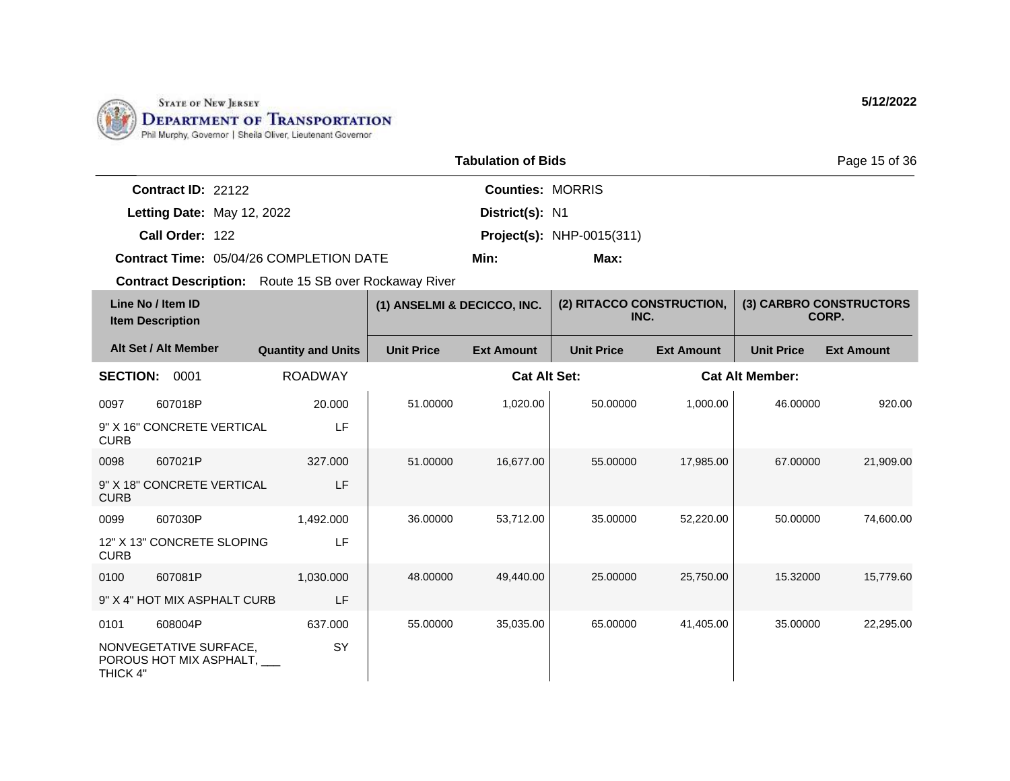

|                                         | <b>Tabulation of Bids</b> |                                  | Page 15 of 36 |  |  |
|-----------------------------------------|---------------------------|----------------------------------|---------------|--|--|
| Contract ID: 22122                      | <b>Counties: MORRIS</b>   |                                  |               |  |  |
| Letting Date: May 12, 2022              | District(s): N1           |                                  |               |  |  |
| Call Order: 122                         |                           | <b>Project(s): NHP-0015(311)</b> |               |  |  |
| Contract Time: 05/04/26 COMPLETION DATE | Min:                      | Max:                             |               |  |  |

| Line No / Item ID<br><b>Item Description</b> |                                                      | (1) ANSELMI & DECICCO, INC. |                   | (2) RITACCO CONSTRUCTION,<br>INC. |                   | (3) CARBRO CONSTRUCTORS<br>CORP. |                        |                   |
|----------------------------------------------|------------------------------------------------------|-----------------------------|-------------------|-----------------------------------|-------------------|----------------------------------|------------------------|-------------------|
|                                              | Alt Set / Alt Member                                 | <b>Quantity and Units</b>   | <b>Unit Price</b> | <b>Ext Amount</b>                 | <b>Unit Price</b> | <b>Ext Amount</b>                | <b>Unit Price</b>      | <b>Ext Amount</b> |
| <b>SECTION:</b>                              | 0001                                                 | <b>ROADWAY</b>              |                   | <b>Cat Alt Set:</b>               |                   |                                  | <b>Cat Alt Member:</b> |                   |
| 0097                                         | 607018P                                              | 20.000                      | 51.00000          | 1,020.00                          | 50.00000          | 1,000.00                         | 46.00000               | 920.00            |
| <b>CURB</b>                                  | 9" X 16" CONCRETE VERTICAL                           | LF                          |                   |                                   |                   |                                  |                        |                   |
| 0098                                         | 607021P                                              | 327.000                     | 51.00000          | 16,677.00                         | 55.00000          | 17,985.00                        | 67.00000               | 21,909.00         |
| <b>CURB</b>                                  | 9" X 18" CONCRETE VERTICAL                           | LF                          |                   |                                   |                   |                                  |                        |                   |
| 0099                                         | 607030P                                              | 1,492.000                   | 36.00000          | 53,712.00                         | 35.00000          | 52,220.00                        | 50.00000               | 74,600.00         |
| <b>CURB</b>                                  | 12" X 13" CONCRETE SLOPING                           | LF                          |                   |                                   |                   |                                  |                        |                   |
| 0100                                         | 607081P                                              | 1,030.000                   | 48.00000          | 49,440.00                         | 25,00000          | 25,750.00                        | 15.32000               | 15,779.60         |
|                                              | 9" X 4" HOT MIX ASPHALT CURB                         | LF                          |                   |                                   |                   |                                  |                        |                   |
| 0101                                         | 608004P                                              | 637.000                     | 55.00000          | 35,035.00                         | 65.00000          | 41,405.00                        | 35.00000               | 22,295.00         |
| THICK 4"                                     | NONVEGETATIVE SURFACE,<br>POROUS HOT MIX ASPHALT, __ | SY                          |                   |                                   |                   |                                  |                        |                   |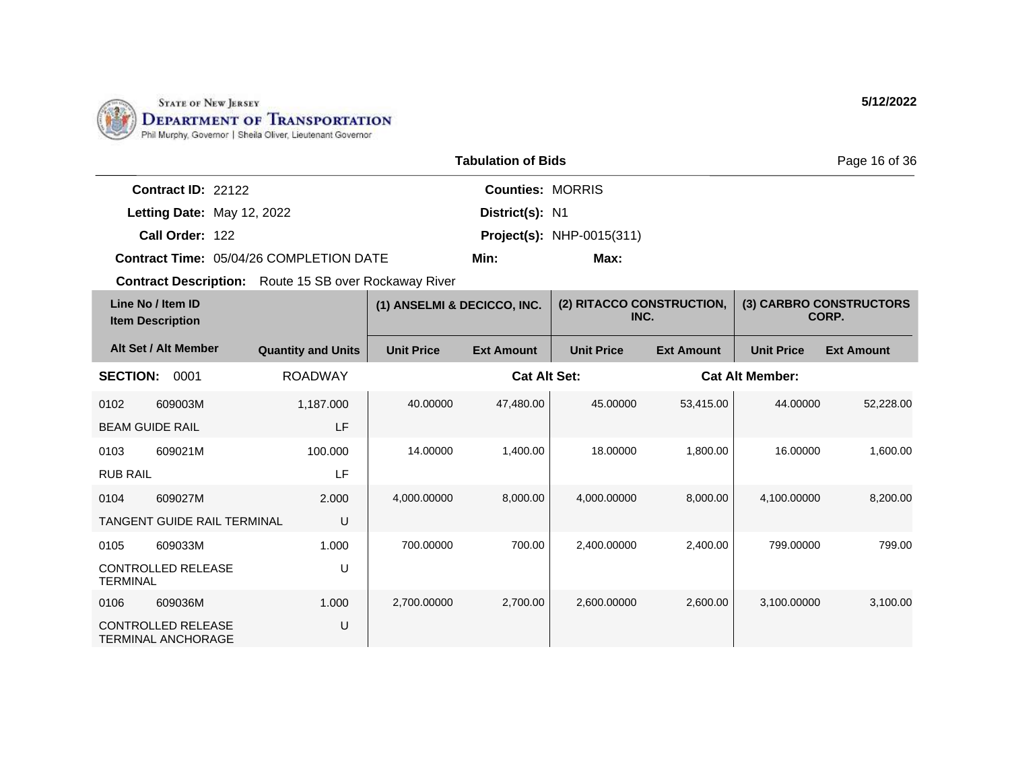

|                      |                                         | Page 16 of 36           |                                  |  |
|----------------------|-----------------------------------------|-------------------------|----------------------------------|--|
| Contract ID: $22122$ |                                         | <b>Counties: MORRIS</b> |                                  |  |
|                      | Letting Date: May 12, 2022              | District(s): N1         |                                  |  |
| Call Order: 122      |                                         |                         | <b>Project(s): NHP-0015(311)</b> |  |
|                      | Contract Time: 05/04/26 COMPLETION DATE | Min:                    | Max:                             |  |

| Line No / Item ID<br><b>Item Description</b> |                                                        | (1) ANSELMI & DECICCO, INC. |                   | (2) RITACCO CONSTRUCTION,<br>INC. |                   | (3) CARBRO CONSTRUCTORS<br>CORP. |                        |                   |
|----------------------------------------------|--------------------------------------------------------|-----------------------------|-------------------|-----------------------------------|-------------------|----------------------------------|------------------------|-------------------|
|                                              | Alt Set / Alt Member                                   | <b>Quantity and Units</b>   | <b>Unit Price</b> | <b>Ext Amount</b>                 | <b>Unit Price</b> | <b>Ext Amount</b>                | <b>Unit Price</b>      | <b>Ext Amount</b> |
| <b>SECTION:</b>                              | 0001                                                   | <b>ROADWAY</b>              |                   | <b>Cat Alt Set:</b>               |                   |                                  | <b>Cat Alt Member:</b> |                   |
| 0102                                         | 609003M                                                | 1,187.000                   | 40.00000          | 47,480.00                         | 45.00000          | 53,415.00                        | 44.00000               | 52,228.00         |
| <b>BEAM GUIDE RAIL</b>                       |                                                        | LF                          |                   |                                   |                   |                                  |                        |                   |
| 0103                                         | 609021M                                                | 100.000                     | 14.00000          | 1,400.00                          | 18.00000          | 1,800.00                         | 16.00000               | 1,600.00          |
| <b>RUB RAIL</b>                              |                                                        | LF                          |                   |                                   |                   |                                  |                        |                   |
| 0104                                         | 609027M                                                | 2.000                       | 4,000.00000       | 8,000.00                          | 4,000.00000       | 8,000.00                         | 4,100.00000            | 8,200.00          |
|                                              | <b>TANGENT GUIDE RAIL TERMINAL</b>                     | U                           |                   |                                   |                   |                                  |                        |                   |
| 0105                                         | 609033M                                                | 1.000                       | 700.00000         | 700.00                            | 2,400.00000       | 2,400.00                         | 799.00000              | 799.00            |
| <b>TERMINAL</b>                              | <b>CONTROLLED RELEASE</b>                              | U                           |                   |                                   |                   |                                  |                        |                   |
| 0106                                         | 609036M                                                | 1.000                       | 2,700.00000       | 2,700.00                          | 2,600.00000       | 2,600.00                         | 3,100.00000            | 3,100.00          |
|                                              | <b>CONTROLLED RELEASE</b><br><b>TERMINAL ANCHORAGE</b> | U                           |                   |                                   |                   |                                  |                        |                   |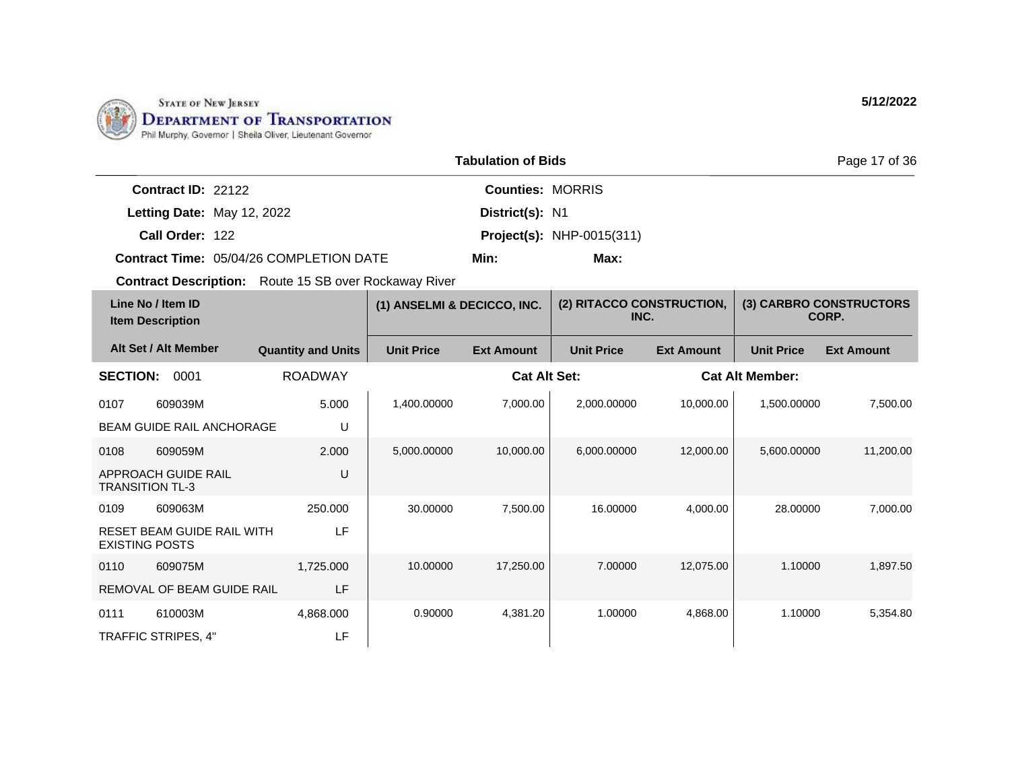

|                            |                                         | Page 17 of 36           |                                  |  |
|----------------------------|-----------------------------------------|-------------------------|----------------------------------|--|
| Contract ID: 22122         |                                         | <b>Counties: MORRIS</b> |                                  |  |
| Letting Date: May 12, 2022 |                                         | District(s): N1         |                                  |  |
| Call Order: 122            |                                         |                         | <b>Project(s):</b> NHP-0015(311) |  |
|                            | Contract Time: 05/04/26 COMPLETION DATE | Min:                    | Max:                             |  |

| Line No / Item ID<br><b>Item Description</b> |                                   | (1) ANSELMI & DECICCO, INC. |                   | (2) RITACCO CONSTRUCTION,<br>INC. |                   | (3) CARBRO CONSTRUCTORS<br>CORP. |                        |                   |
|----------------------------------------------|-----------------------------------|-----------------------------|-------------------|-----------------------------------|-------------------|----------------------------------|------------------------|-------------------|
|                                              | Alt Set / Alt Member              | <b>Quantity and Units</b>   | <b>Unit Price</b> | <b>Ext Amount</b>                 | <b>Unit Price</b> | <b>Ext Amount</b>                | <b>Unit Price</b>      | <b>Ext Amount</b> |
| <b>SECTION:</b>                              | 0001                              | <b>ROADWAY</b>              |                   | <b>Cat Alt Set:</b>               |                   |                                  | <b>Cat Alt Member:</b> |                   |
| 0107                                         | 609039M                           | 5.000                       | 1,400.00000       | 7,000.00                          | 2,000.00000       | 10,000.00                        | 1,500.00000            | 7,500.00          |
|                                              | <b>BEAM GUIDE RAIL ANCHORAGE</b>  | U                           |                   |                                   |                   |                                  |                        |                   |
| 0108                                         | 609059M                           | 2.000                       | 5,000.00000       | 10,000.00                         | 6,000.00000       | 12,000.00                        | 5,600.00000            | 11,200.00         |
| <b>TRANSITION TL-3</b>                       | APPROACH GUIDE RAIL               | U                           |                   |                                   |                   |                                  |                        |                   |
| 0109                                         | 609063M                           | 250.000                     | 30.00000          | 7,500.00                          | 16.00000          | 4,000.00                         | 28.00000               | 7,000.00          |
| <b>EXISTING POSTS</b>                        | <b>RESET BEAM GUIDE RAIL WITH</b> | LF                          |                   |                                   |                   |                                  |                        |                   |
| 0110                                         | 609075M                           | 1,725.000                   | 10.00000          | 17,250.00                         | 7.00000           | 12,075.00                        | 1.10000                | 1,897.50          |
|                                              | REMOVAL OF BEAM GUIDE RAIL        | LF                          |                   |                                   |                   |                                  |                        |                   |
| 0111                                         | 610003M                           | 4,868.000                   | 0.90000           | 4,381.20                          | 1.00000           | 4,868.00                         | 1.10000                | 5,354.80          |
|                                              | <b>TRAFFIC STRIPES, 4"</b>        | LF                          |                   |                                   |                   |                                  |                        |                   |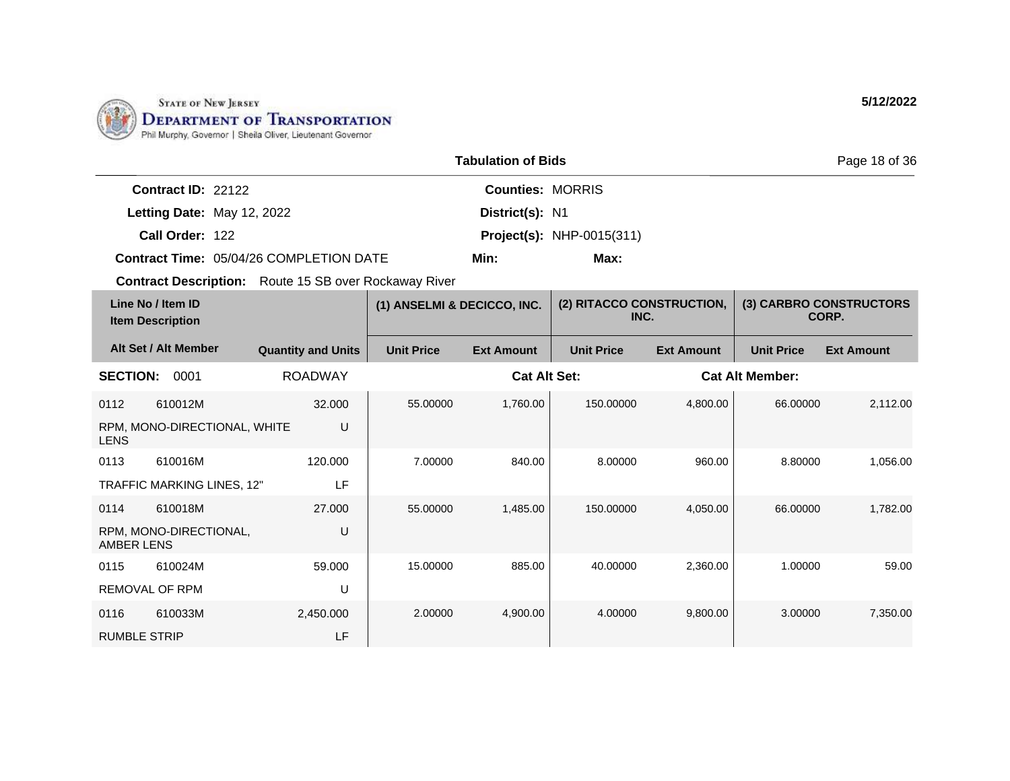

|                                         | <b>Tabulation of Bids</b> |                                  |  |  |  |
|-----------------------------------------|---------------------------|----------------------------------|--|--|--|
| Contract ID: 22122                      |                           | <b>Counties: MORRIS</b>          |  |  |  |
| Letting Date: May 12, 2022              | District(s): N1           |                                  |  |  |  |
| Call Order: 122                         |                           | <b>Project(s):</b> NHP-0015(311) |  |  |  |
| Contract Time: 05/04/26 COMPLETION DATE | Min:                      | Max:                             |  |  |  |

|                     | Line No / Item ID<br><b>Item Description</b> |                           | (1) ANSELMI & DECICCO, INC. |                     | (2) RITACCO CONSTRUCTION,<br>INC. |                   |                        | (3) CARBRO CONSTRUCTORS<br>CORP. |
|---------------------|----------------------------------------------|---------------------------|-----------------------------|---------------------|-----------------------------------|-------------------|------------------------|----------------------------------|
|                     | Alt Set / Alt Member                         | <b>Quantity and Units</b> | <b>Unit Price</b>           | <b>Ext Amount</b>   | <b>Unit Price</b>                 | <b>Ext Amount</b> | <b>Unit Price</b>      | <b>Ext Amount</b>                |
| <b>SECTION:</b>     | 0001                                         | <b>ROADWAY</b>            |                             | <b>Cat Alt Set:</b> |                                   |                   | <b>Cat Alt Member:</b> |                                  |
| 0112                | 610012M                                      | 32.000                    | 55.00000                    | 1,760.00            | 150.00000                         | 4,800.00          | 66.00000               | 2,112.00                         |
| <b>LENS</b>         | RPM, MONO-DIRECTIONAL, WHITE                 | U                         |                             |                     |                                   |                   |                        |                                  |
| 0113                | 610016M                                      | 120,000                   | 7.00000                     | 840.00              | 8.00000                           | 960.00            | 8.80000                | 1,056.00                         |
|                     | TRAFFIC MARKING LINES, 12"                   | LF                        |                             |                     |                                   |                   |                        |                                  |
| 0114                | 610018M                                      | 27,000                    | 55.00000                    | 1,485.00            | 150.00000                         | 4,050.00          | 66.00000               | 1,782.00                         |
| AMBER LENS          | RPM, MONO-DIRECTIONAL,                       | U                         |                             |                     |                                   |                   |                        |                                  |
| 0115                | 610024M                                      | 59,000                    | 15.00000                    | 885.00              | 40.00000                          | 2,360.00          | 1.00000                | 59.00                            |
|                     | <b>REMOVAL OF RPM</b>                        | U                         |                             |                     |                                   |                   |                        |                                  |
| 0116                | 610033M                                      | 2,450.000                 | 2.00000                     | 4,900.00            | 4.00000                           | 9,800.00          | 3.00000                | 7,350.00                         |
| <b>RUMBLE STRIP</b> |                                              | LF                        |                             |                     |                                   |                   |                        |                                  |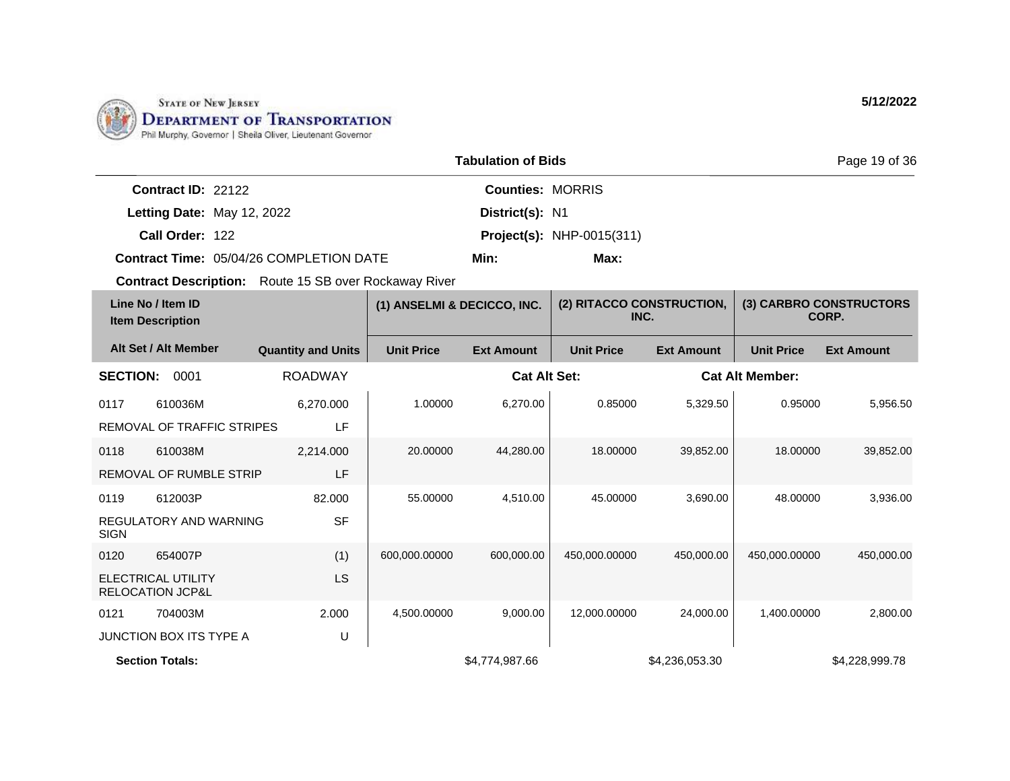

|                                                | <b>Tabulation of Bids</b> |                                  | Page 19 of 36 |  |
|------------------------------------------------|---------------------------|----------------------------------|---------------|--|
| Contract ID: 22122                             | <b>Counties: MORRIS</b>   |                                  |               |  |
| Letting Date: May 12, 2022                     | District(s): N1           |                                  |               |  |
| Call Order: 122                                |                           | <b>Project(s): NHP-0015(311)</b> |               |  |
| <b>Contract Time: 05/04/26 COMPLETION DATE</b> | Min:                      | Max:                             |               |  |

| Line No / Item ID<br><b>Item Description</b>             |                            |                           | (1) ANSELMI & DECICCO, INC. |                     | (2) RITACCO CONSTRUCTION,<br>INC. |                   | (3) CARBRO CONSTRUCTORS<br>CORP. |                   |
|----------------------------------------------------------|----------------------------|---------------------------|-----------------------------|---------------------|-----------------------------------|-------------------|----------------------------------|-------------------|
|                                                          | Alt Set / Alt Member       | <b>Quantity and Units</b> | <b>Unit Price</b>           | <b>Ext Amount</b>   | <b>Unit Price</b>                 | <b>Ext Amount</b> | <b>Unit Price</b>                | <b>Ext Amount</b> |
| <b>SECTION:</b>                                          | 0001                       | <b>ROADWAY</b>            |                             | <b>Cat Alt Set:</b> |                                   |                   | <b>Cat Alt Member:</b>           |                   |
| 0117                                                     | 610036M                    | 6,270.000                 | 1.00000                     | 6,270.00            | 0.85000                           | 5,329.50          | 0.95000                          | 5,956.50          |
|                                                          | REMOVAL OF TRAFFIC STRIPES | LF                        |                             |                     |                                   |                   |                                  |                   |
| 0118                                                     | 610038M                    | 2,214.000                 | 20,00000                    | 44,280.00           | 18,00000                          | 39,852.00         | 18,00000                         | 39,852.00         |
|                                                          | REMOVAL OF RUMBLE STRIP    | LF                        |                             |                     |                                   |                   |                                  |                   |
| 0119                                                     | 612003P                    | 82.000                    | 55.00000                    | 4,510.00            | 45.00000                          | 3,690.00          | 48.00000                         | 3,936.00          |
| <b>SIGN</b>                                              | REGULATORY AND WARNING     | <b>SF</b>                 |                             |                     |                                   |                   |                                  |                   |
| 0120                                                     | 654007P                    | (1)                       | 600,000.00000               | 600,000.00          | 450,000.00000                     | 450,000.00        | 450,000.00000                    | 450,000.00        |
| <b>ELECTRICAL UTILITY</b><br><b>RELOCATION JCP&amp;L</b> |                            | <b>LS</b>                 |                             |                     |                                   |                   |                                  |                   |
| 0121                                                     | 704003M                    | 2.000                     | 4,500.00000                 | 9,000.00            | 12,000.00000                      | 24,000.00         | 1,400.00000                      | 2,800.00          |
|                                                          | JUNCTION BOX ITS TYPE A    | U                         |                             |                     |                                   |                   |                                  |                   |
| <b>Section Totals:</b>                                   |                            |                           |                             | \$4,774,987.66      |                                   | \$4,236,053.30    |                                  | \$4,228,999.78    |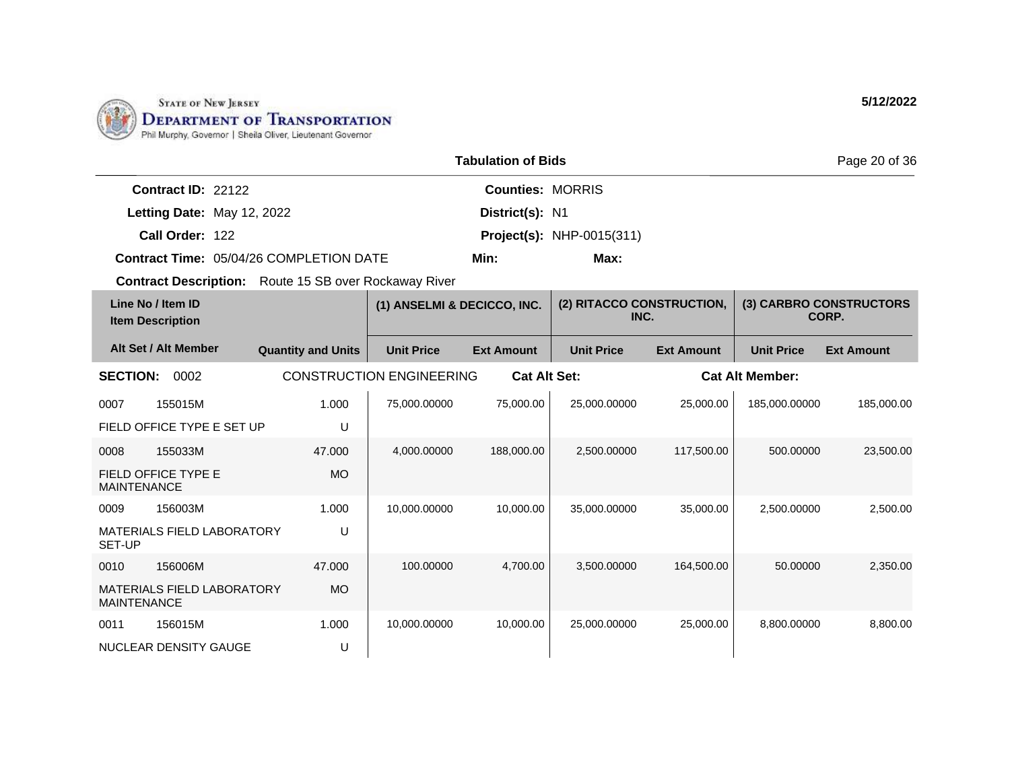

|                                                         |                                                              |                                 | <b>Tabulation of Bids</b> |                                   |                   |                        | Page 20 of 36                    |
|---------------------------------------------------------|--------------------------------------------------------------|---------------------------------|---------------------------|-----------------------------------|-------------------|------------------------|----------------------------------|
| Contract ID: 22122                                      |                                                              |                                 | <b>Counties: MORRIS</b>   |                                   |                   |                        |                                  |
| Letting Date: May 12, 2022                              |                                                              |                                 | District(s): N1           |                                   |                   |                        |                                  |
| Call Order: 122                                         |                                                              |                                 |                           | <b>Project(s): NHP-0015(311)</b>  |                   |                        |                                  |
|                                                         | <b>Contract Time: 05/04/26 COMPLETION DATE</b>               |                                 | Min:                      | Max:                              |                   |                        |                                  |
|                                                         | <b>Contract Description:</b> Route 15 SB over Rockaway River |                                 |                           |                                   |                   |                        |                                  |
| Line No / Item ID<br><b>Item Description</b>            |                                                              | (1) ANSELMI & DECICCO, INC.     |                           | (2) RITACCO CONSTRUCTION,<br>INC. |                   |                        | (3) CARBRO CONSTRUCTORS<br>CORP. |
| Alt Set / Alt Member                                    | <b>Quantity and Units</b>                                    | <b>Unit Price</b>               | <b>Ext Amount</b>         | <b>Unit Price</b>                 | <b>Ext Amount</b> | <b>Unit Price</b>      | <b>Ext Amount</b>                |
| <b>SECTION: 0002</b>                                    |                                                              | <b>CONSTRUCTION ENGINEERING</b> | <b>Cat Alt Set:</b>       |                                   |                   | <b>Cat Alt Member:</b> |                                  |
| 155015M<br>0007                                         | 1.000                                                        | 75,000.00000                    | 75,000.00                 | 25,000.00000                      | 25,000.00         | 185,000.00000          | 185,000.00                       |
| FIELD OFFICE TYPE E SET UP                              | U                                                            |                                 |                           |                                   |                   |                        |                                  |
| 155033M<br>0008                                         | 47,000                                                       | 4,000.00000                     | 188,000.00                | 2,500.00000                       | 117,500.00        | 500.00000              | 23,500.00                        |
| FIELD OFFICE TYPE E<br><b>MAINTENANCE</b>               | <b>MO</b>                                                    |                                 |                           |                                   |                   |                        |                                  |
| 156003M<br>0009                                         | 1.000                                                        | 10,000.00000                    | 10.000.00                 | 35,000.00000                      | 35,000,00         | 2.500.00000            | 2,500.00                         |
| MATERIALS FIELD LABORATORY<br>SET-UP                    | U                                                            |                                 |                           |                                   |                   |                        |                                  |
| 156006M<br>0010                                         | 47.000                                                       | 100.00000                       | 4,700.00                  | 3,500.00000                       | 164,500.00        | 50.00000               | 2,350.00                         |
| <b>MATERIALS FIELD LABORATORY</b><br><b>MAINTENANCE</b> | <b>MO</b>                                                    |                                 |                           |                                   |                   |                        |                                  |
| 156015M<br>0011                                         | 1.000                                                        | 10,000.00000                    | 10,000.00                 | 25,000.00000                      | 25,000.00         | 8,800.00000            | 8,800.00                         |
| NUCLEAR DENSITY GAUGE                                   | U                                                            |                                 |                           |                                   |                   |                        |                                  |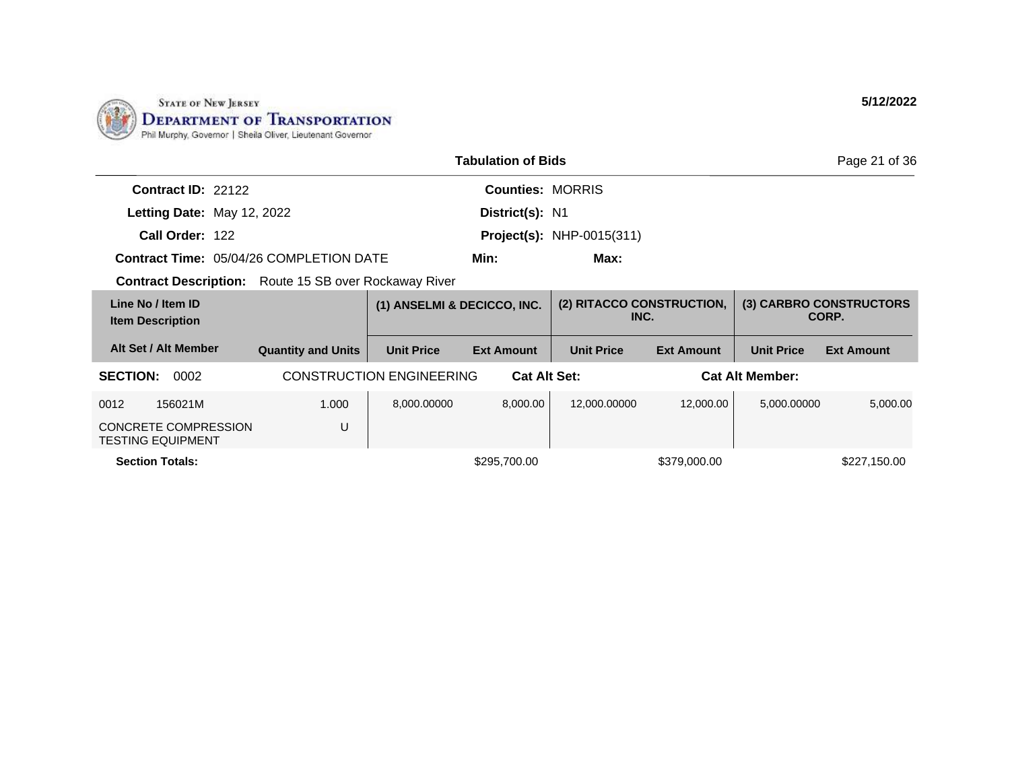

|                                                              |                           |                                 | <b>Tabulation of Bids</b> |                                   |                   |                        | Page 21 of 36                    |
|--------------------------------------------------------------|---------------------------|---------------------------------|---------------------------|-----------------------------------|-------------------|------------------------|----------------------------------|
| Contract ID: 22122                                           |                           |                                 | <b>Counties: MORRIS</b>   |                                   |                   |                        |                                  |
| Letting Date: May 12, 2022                                   |                           |                                 | District(s): N1           |                                   |                   |                        |                                  |
| Call Order: 122                                              |                           |                                 |                           | <b>Project(s): NHP-0015(311)</b>  |                   |                        |                                  |
| <b>Contract Time: 05/04/26 COMPLETION DATE</b>               |                           |                                 | Min:                      | Max:                              |                   |                        |                                  |
| <b>Contract Description:</b> Route 15 SB over Rockaway River |                           |                                 |                           |                                   |                   |                        |                                  |
| Line No / Item ID<br><b>Item Description</b>                 |                           | (1) ANSELMI & DECICCO, INC.     |                           | (2) RITACCO CONSTRUCTION,<br>INC. |                   |                        | (3) CARBRO CONSTRUCTORS<br>CORP. |
| Alt Set / Alt Member                                         | <b>Quantity and Units</b> | <b>Unit Price</b>               | <b>Ext Amount</b>         | <b>Unit Price</b>                 | <b>Ext Amount</b> | <b>Unit Price</b>      | <b>Ext Amount</b>                |
| <b>SECTION:</b><br>0002                                      |                           | <b>CONSTRUCTION ENGINEERING</b> | <b>Cat Alt Set:</b>       |                                   |                   | <b>Cat Alt Member:</b> |                                  |
| 156021M<br>0012                                              | 1.000                     | 8,000.00000                     | 8,000.00                  | 12,000.00000                      | 12,000.00         | 5,000.00000            | 5,000.00                         |
| <b>CONCRETE COMPRESSION</b><br><b>TESTING EQUIPMENT</b>      | U                         |                                 |                           |                                   |                   |                        |                                  |
| <b>Section Totals:</b>                                       |                           |                                 | \$295,700.00              |                                   | \$379,000.00      |                        | \$227,150.00                     |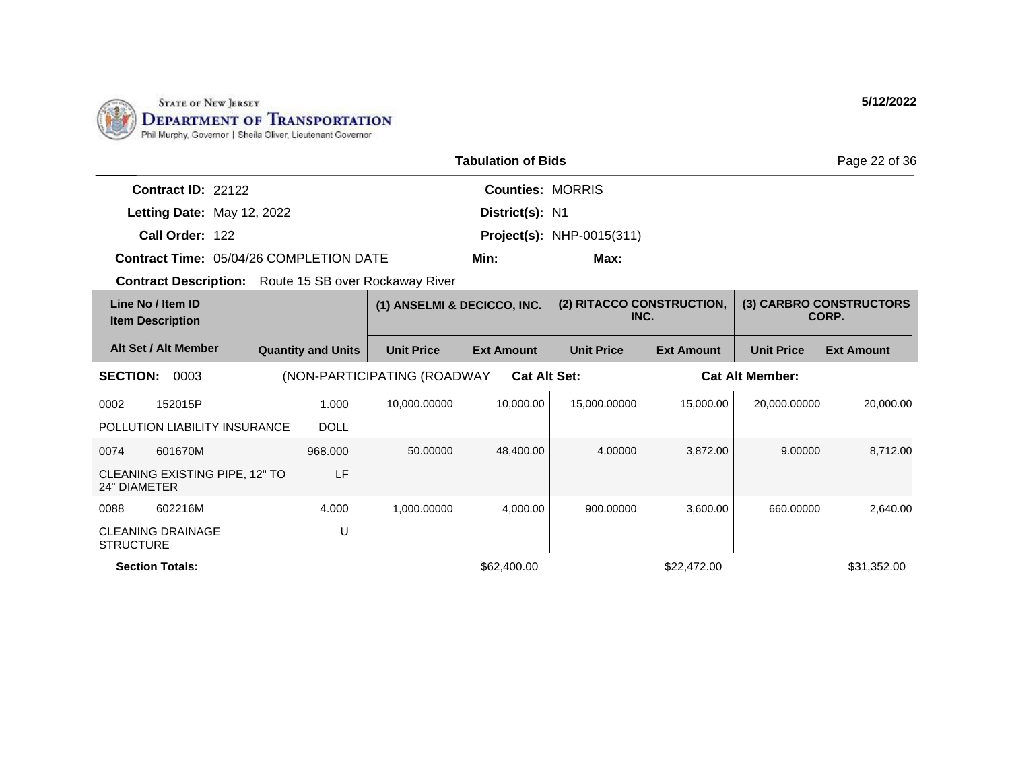

| <b>Tabulation of Bids</b>                                    |                           |                             |                         |                                   |                   |                        | Page 22 of 36                    |
|--------------------------------------------------------------|---------------------------|-----------------------------|-------------------------|-----------------------------------|-------------------|------------------------|----------------------------------|
| Contract ID: 22122                                           |                           |                             | <b>Counties: MORRIS</b> |                                   |                   |                        |                                  |
| Letting Date: May 12, 2022                                   |                           |                             | District(s): N1         |                                   |                   |                        |                                  |
| Call Order: 122                                              |                           |                             |                         | <b>Project(s): NHP-0015(311)</b>  |                   |                        |                                  |
| <b>Contract Time: 05/04/26 COMPLETION DATE</b>               |                           |                             | Min:                    | Max:                              |                   |                        |                                  |
| <b>Contract Description:</b> Route 15 SB over Rockaway River |                           |                             |                         |                                   |                   |                        |                                  |
| Line No / Item ID<br><b>Item Description</b>                 |                           | (1) ANSELMI & DECICCO, INC. |                         | (2) RITACCO CONSTRUCTION,<br>INC. |                   |                        | (3) CARBRO CONSTRUCTORS<br>CORP. |
| Alt Set / Alt Member                                         | <b>Quantity and Units</b> | <b>Unit Price</b>           | <b>Ext Amount</b>       | <b>Unit Price</b>                 | <b>Ext Amount</b> | <b>Unit Price</b>      | <b>Ext Amount</b>                |
| <b>SECTION:</b><br>0003                                      |                           | (NON-PARTICIPATING (ROADWAY | <b>Cat Alt Set:</b>     |                                   |                   | <b>Cat Alt Member:</b> |                                  |
| 0002<br>152015P                                              | 1.000                     | 10,000.00000                | 10,000.00               | 15.000.00000                      | 15,000.00         | 20.000.00000           | 20,000,00                        |
| POLLUTION LIABILITY INSURANCE                                | <b>DOLL</b>               |                             |                         |                                   |                   |                        |                                  |
| 0074<br>601670M                                              | 968,000                   | 50.00000                    | 48,400.00               | 4.00000                           | 3.872.00          | 9.00000                | 8,712.00                         |
| CLEANING EXISTING PIPE, 12" TO<br><b>24" DIAMETER</b>        | LF                        |                             |                         |                                   |                   |                        |                                  |
| 602216M<br>0088                                              | 4.000                     | 1,000.00000                 | 4,000.00                | 900.00000                         | 3,600.00          | 660.00000              | 2,640.00                         |
| <b>CLEANING DRAINAGE</b><br><b>STRUCTURE</b>                 | U                         |                             |                         |                                   |                   |                        |                                  |
| <b>Section Totals:</b>                                       |                           |                             | \$62,400.00             |                                   | \$22,472.00       |                        | \$31.352.00                      |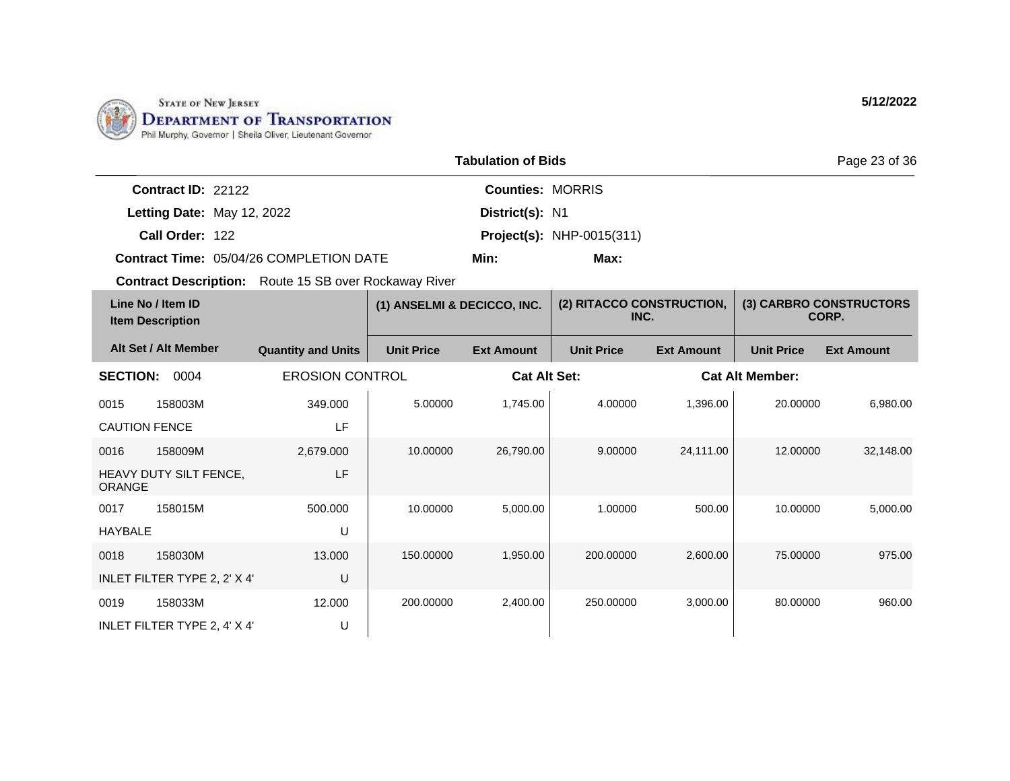

|                           |                                                | <b>Tabulation of Bids</b> |                                  | Page 23 of 36 |
|---------------------------|------------------------------------------------|---------------------------|----------------------------------|---------------|
| <b>Contract ID: 22122</b> |                                                | <b>Counties: MORRIS</b>   |                                  |               |
|                           | Letting Date: May 12, 2022                     | District(s): N1           |                                  |               |
| Call Order: 122           |                                                |                           | <b>Project(s): NHP-0015(311)</b> |               |
|                           | <b>Contract Time: 05/04/26 COMPLETION DATE</b> | Min:                      | Max:                             |               |

| Line No / Item ID<br><b>Item Description</b> |                              |                           | (2) RITACCO CONSTRUCTION,<br>(1) ANSELMI & DECICCO, INC.<br>INC. |                     |                   | (3) CARBRO CONSTRUCTORS<br>CORP. |                        |                   |
|----------------------------------------------|------------------------------|---------------------------|------------------------------------------------------------------|---------------------|-------------------|----------------------------------|------------------------|-------------------|
|                                              | Alt Set / Alt Member         | <b>Quantity and Units</b> | <b>Unit Price</b>                                                | <b>Ext Amount</b>   | <b>Unit Price</b> | <b>Ext Amount</b>                | <b>Unit Price</b>      | <b>Ext Amount</b> |
| <b>SECTION:</b>                              | 0004                         | <b>EROSION CONTROL</b>    |                                                                  | <b>Cat Alt Set:</b> |                   |                                  | <b>Cat Alt Member:</b> |                   |
| 0015                                         | 158003M                      | 349.000                   | 5.00000                                                          | 1,745.00            | 4.00000           | 1,396.00                         | 20.00000               | 6,980.00          |
| <b>CAUTION FENCE</b>                         |                              | LF                        |                                                                  |                     |                   |                                  |                        |                   |
| 0016                                         | 158009M                      | 2,679.000                 | 10.00000                                                         | 26,790.00           | 9.00000           | 24,111.00                        | 12.00000               | 32,148.00         |
| <b>ORANGE</b>                                | HEAVY DUTY SILT FENCE,       | LF                        |                                                                  |                     |                   |                                  |                        |                   |
| 0017                                         | 158015M                      | 500.000                   | 10.00000                                                         | 5,000.00            | 1.00000           | 500.00                           | 10.00000               | 5,000.00          |
| <b>HAYBALE</b>                               |                              | U                         |                                                                  |                     |                   |                                  |                        |                   |
| 0018                                         | 158030M                      | 13.000                    | 150.00000                                                        | 1,950.00            | 200.00000         | 2,600.00                         | 75.00000               | 975.00            |
|                                              | INLET FILTER TYPE 2, 2' X 4' | U                         |                                                                  |                     |                   |                                  |                        |                   |
| 0019                                         | 158033M                      | 12.000                    | 200.00000                                                        | 2,400.00            | 250.00000         | 3,000.00                         | 80.00000               | 960.00            |
|                                              | INLET FILTER TYPE 2, 4' X 4' | U                         |                                                                  |                     |                   |                                  |                        |                   |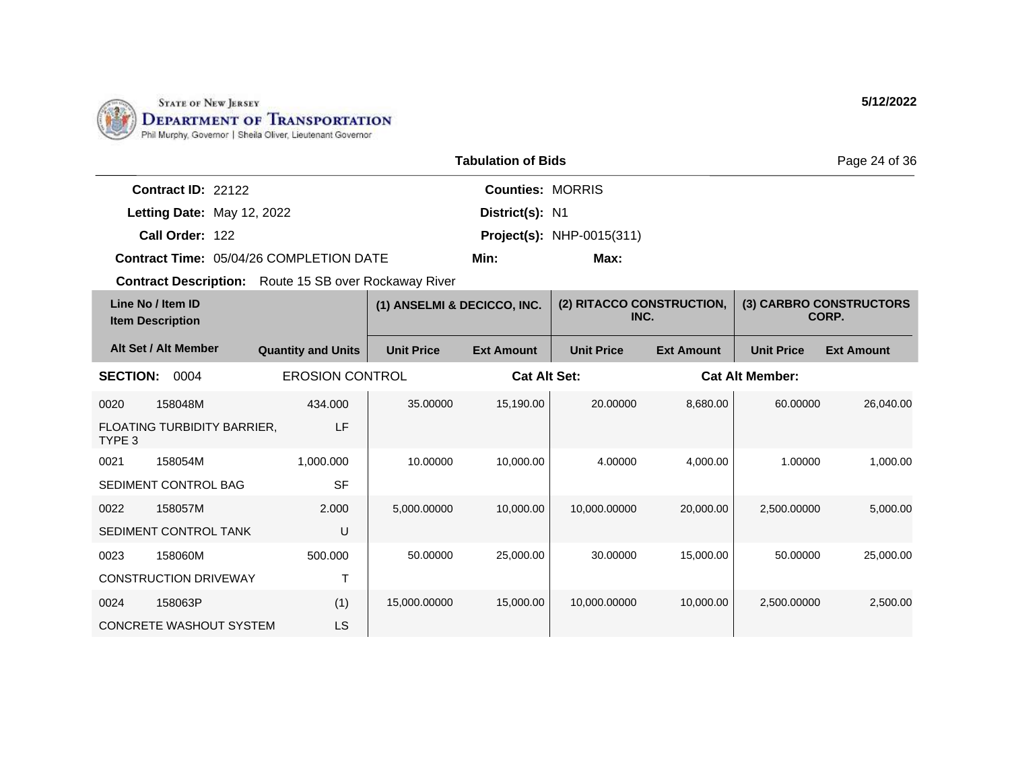

|                    |                                                | Page 24 of 36           |                                  |  |
|--------------------|------------------------------------------------|-------------------------|----------------------------------|--|
| Contract ID: 22122 |                                                | <b>Counties: MORRIS</b> |                                  |  |
|                    | Letting Date: May 12, 2022                     | District(s): N1         |                                  |  |
| Call Order: 122    |                                                |                         | <b>Project(s): NHP-0015(311)</b> |  |
|                    | <b>Contract Time: 05/04/26 COMPLETION DATE</b> | Min:                    | Max:                             |  |

| Line No / Item ID<br><b>Item Description</b> |                                | (1) ANSELMI & DECICCO, INC. |                   | (2) RITACCO CONSTRUCTION,<br>INC. |                   | (3) CARBRO CONSTRUCTORS<br>CORP. |                        |                   |
|----------------------------------------------|--------------------------------|-----------------------------|-------------------|-----------------------------------|-------------------|----------------------------------|------------------------|-------------------|
|                                              | Alt Set / Alt Member           | <b>Quantity and Units</b>   | <b>Unit Price</b> | <b>Ext Amount</b>                 | <b>Unit Price</b> | <b>Ext Amount</b>                | <b>Unit Price</b>      | <b>Ext Amount</b> |
| <b>SECTION:</b>                              | 0004                           | <b>EROSION CONTROL</b>      |                   | <b>Cat Alt Set:</b>               |                   |                                  | <b>Cat Alt Member:</b> |                   |
| 0020                                         | 158048M                        | 434.000                     | 35.00000          | 15,190.00                         | 20.00000          | 8,680.00                         | 60.00000               | 26,040.00         |
| TYPE 3                                       | FLOATING TURBIDITY BARRIER,    | LF                          |                   |                                   |                   |                                  |                        |                   |
| 0021                                         | 158054M                        | 1,000.000                   | 10.00000          | 10,000.00                         | 4.00000           | 4,000.00                         | 1.00000                | 1,000.00          |
|                                              | SEDIMENT CONTROL BAG           | <b>SF</b>                   |                   |                                   |                   |                                  |                        |                   |
| 0022                                         | 158057M                        | 2.000                       | 5,000.00000       | 10,000.00                         | 10,000.00000      | 20,000.00                        | 2,500.00000            | 5,000.00          |
|                                              | SEDIMENT CONTROL TANK          | U                           |                   |                                   |                   |                                  |                        |                   |
| 0023                                         | 158060M                        | 500.000                     | 50.00000          | 25,000.00                         | 30.00000          | 15,000.00                        | 50.00000               | 25,000.00         |
|                                              | <b>CONSTRUCTION DRIVEWAY</b>   | Т                           |                   |                                   |                   |                                  |                        |                   |
| 0024                                         | 158063P                        | (1)                         | 15,000.00000      | 15,000.00                         | 10,000.00000      | 10,000.00                        | 2,500.00000            | 2,500.00          |
|                                              | <b>CONCRETE WASHOUT SYSTEM</b> | LS                          |                   |                                   |                   |                                  |                        |                   |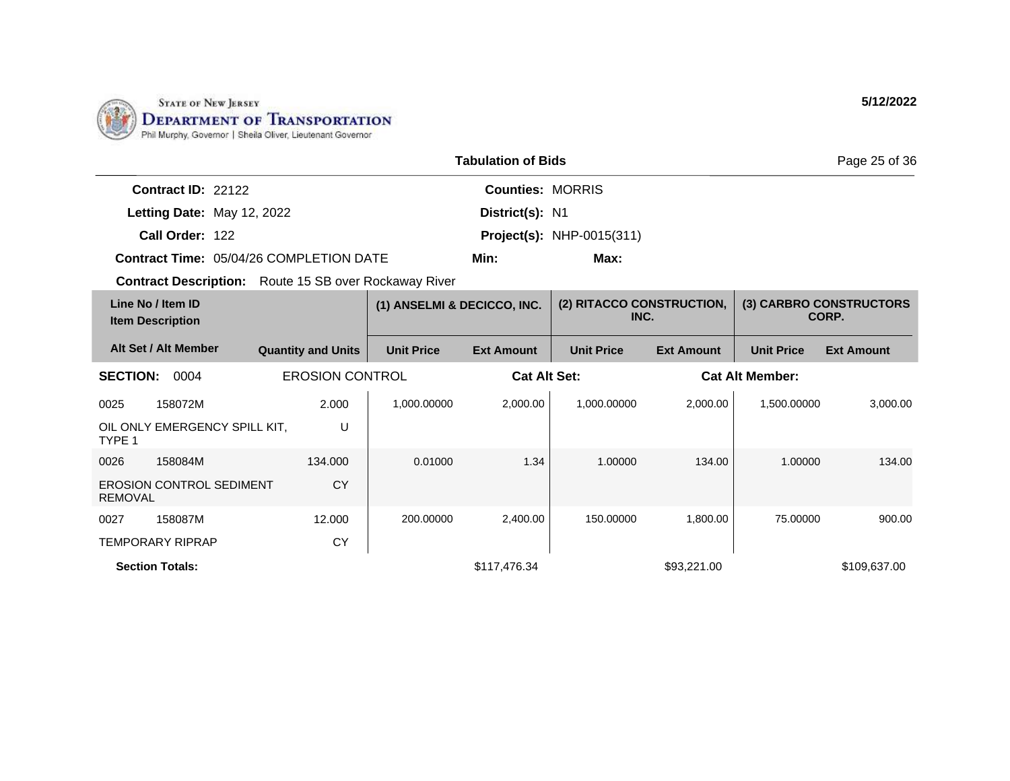

|                            |                                                | <b>Tabulation of Bids</b> |                                  | Page 25 of 36 |
|----------------------------|------------------------------------------------|---------------------------|----------------------------------|---------------|
| Contract $ID: 22122$       |                                                | <b>Counties: MORRIS</b>   |                                  |               |
| Letting Date: May 12, 2022 |                                                | District(s): N1           |                                  |               |
| Call Order: 122            |                                                |                           | <b>Project(s): NHP-0015(311)</b> |               |
|                            | <b>Contract Time: 05/04/26 COMPLETION DATE</b> | Min:                      | Max:                             |               |

|                 | Line No / Item ID<br><b>Item Description</b> |                           | (1) ANSELMI & DECICCO, INC. |                     | (2) RITACCO CONSTRUCTION.<br>INC. |                   |                        | (3) CARBRO CONSTRUCTORS<br>CORP. |
|-----------------|----------------------------------------------|---------------------------|-----------------------------|---------------------|-----------------------------------|-------------------|------------------------|----------------------------------|
|                 | Alt Set / Alt Member                         | <b>Quantity and Units</b> | <b>Unit Price</b>           | <b>Ext Amount</b>   | <b>Unit Price</b>                 | <b>Ext Amount</b> | <b>Unit Price</b>      | <b>Ext Amount</b>                |
| <b>SECTION:</b> | 0004                                         | <b>EROSION CONTROL</b>    |                             | <b>Cat Alt Set:</b> |                                   |                   | <b>Cat Alt Member:</b> |                                  |
| 0025            | 158072M                                      | 2.000                     | 1,000.00000                 | 2,000.00            | 1.000.00000                       | 2,000.00          | 1,500.00000            | 3,000.00                         |
| TYPE 1          | OIL ONLY EMERGENCY SPILL KIT.                | U                         |                             |                     |                                   |                   |                        |                                  |
| 0026            | 158084M                                      | 134.000                   | 0.01000                     | 1.34                | 1.00000                           | 134.00            | 1.00000                | 134.00                           |
| <b>REMOVAL</b>  | <b>EROSION CONTROL SEDIMENT</b>              | <b>CY</b>                 |                             |                     |                                   |                   |                        |                                  |
| 0027            | 158087M                                      | 12.000                    | 200.00000                   | 2,400.00            | 150.00000                         | 1,800.00          | 75.00000               | 900.00                           |
|                 | <b>TEMPORARY RIPRAP</b>                      | <b>CY</b>                 |                             |                     |                                   |                   |                        |                                  |
|                 | <b>Section Totals:</b>                       |                           |                             | \$117,476.34        |                                   | \$93,221.00       |                        | \$109,637.00                     |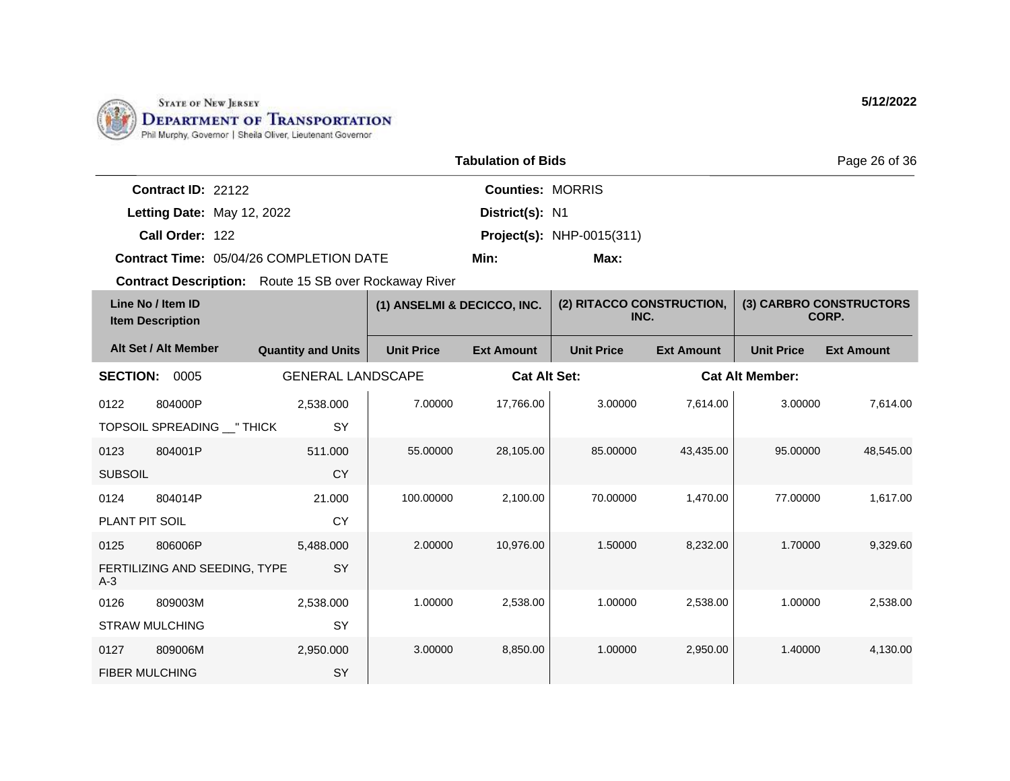

|                    |                                         | Page 26 of 36           |                                  |  |
|--------------------|-----------------------------------------|-------------------------|----------------------------------|--|
| Contract ID: 22122 |                                         | <b>Counties: MORRIS</b> |                                  |  |
|                    | Letting Date: May 12, 2022              | District(s): N1         |                                  |  |
| Call Order: 122    |                                         |                         | <b>Project(s): NHP-0015(311)</b> |  |
|                    | Contract Time: 05/04/26 COMPLETION DATE | Min:                    | Max:                             |  |

| Line No / Item ID<br><b>Item Description</b> |                               | (1) ANSELMI & DECICCO, INC. |                   | (2) RITACCO CONSTRUCTION,<br>INC. |                   | (3) CARBRO CONSTRUCTORS<br>CORP. |                   |                        |  |
|----------------------------------------------|-------------------------------|-----------------------------|-------------------|-----------------------------------|-------------------|----------------------------------|-------------------|------------------------|--|
|                                              | Alt Set / Alt Member          | <b>Quantity and Units</b>   | <b>Unit Price</b> | <b>Ext Amount</b>                 | <b>Unit Price</b> | <b>Ext Amount</b>                | <b>Unit Price</b> | <b>Ext Amount</b>      |  |
| <b>SECTION:</b>                              | 0005                          | <b>GENERAL LANDSCAPE</b>    |                   | <b>Cat Alt Set:</b>               |                   |                                  |                   | <b>Cat Alt Member:</b> |  |
| 0122                                         | 804000P                       | 2,538.000                   | 7.00000           | 17,766.00                         | 3.00000           | 7,614.00                         | 3.00000           | 7,614.00               |  |
|                                              | TOPSOIL SPREADING __ " THICK  | SY                          |                   |                                   |                   |                                  |                   |                        |  |
| 0123                                         | 804001P                       | 511.000                     | 55.00000          | 28,105.00                         | 85.00000          | 43,435.00                        | 95.00000          | 48,545.00              |  |
| <b>SUBSOIL</b>                               |                               | <b>CY</b>                   |                   |                                   |                   |                                  |                   |                        |  |
| 0124                                         | 804014P                       | 21.000                      | 100.00000         | 2,100.00                          | 70.00000          | 1,470.00                         | 77,00000          | 1,617.00               |  |
| PLANT PIT SOIL                               |                               | <b>CY</b>                   |                   |                                   |                   |                                  |                   |                        |  |
| 0125                                         | 806006P                       | 5,488.000                   | 2.00000           | 10,976.00                         | 1.50000           | 8,232.00                         | 1.70000           | 9,329.60               |  |
| $A-3$                                        | FERTILIZING AND SEEDING, TYPE | SY                          |                   |                                   |                   |                                  |                   |                        |  |
| 0126                                         | 809003M                       | 2,538.000                   | 1.00000           | 2,538.00                          | 1.00000           | 2,538.00                         | 1.00000           | 2.538.00               |  |
|                                              | <b>STRAW MULCHING</b>         | SY                          |                   |                                   |                   |                                  |                   |                        |  |
| 0127                                         | 809006M                       | 2,950.000                   | 3.00000           | 8,850.00                          | 1.00000           | 2,950.00                         | 1.40000           | 4,130.00               |  |
| <b>FIBER MULCHING</b>                        |                               | SY                          |                   |                                   |                   |                                  |                   |                        |  |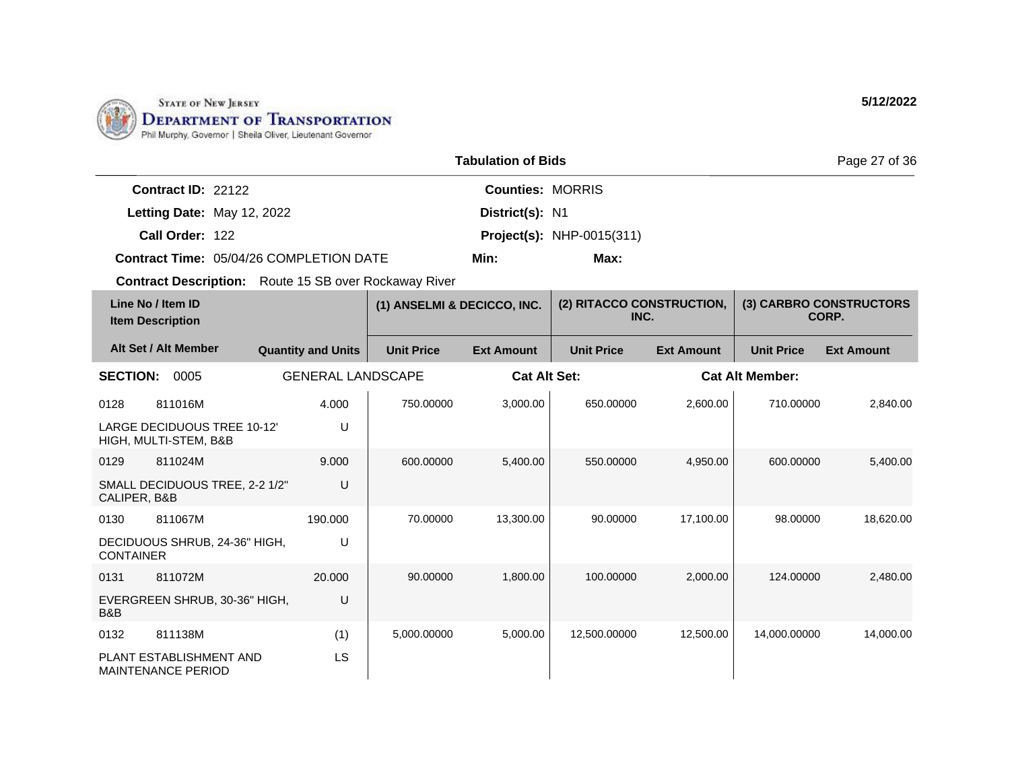

|                      |                                                | Page 27 of 36           |                                  |  |
|----------------------|------------------------------------------------|-------------------------|----------------------------------|--|
| Contract $ID: 22122$ |                                                | <b>Counties: MORRIS</b> |                                  |  |
|                      | Letting Date: May 12, 2022                     | District(s): N1         |                                  |  |
| Call Order: 122      |                                                |                         | <b>Project(s): NHP-0015(311)</b> |  |
|                      | <b>Contract Time: 05/04/26 COMPLETION DATE</b> | Min:                    | Max:                             |  |

| Line No / Item ID<br><b>Item Description</b> |                                                             | (1) ANSELMI & DECICCO, INC. |                   | (2) RITACCO CONSTRUCTION,<br>INC. |                   | (3) CARBRO CONSTRUCTORS<br>CORP. |                        |                   |
|----------------------------------------------|-------------------------------------------------------------|-----------------------------|-------------------|-----------------------------------|-------------------|----------------------------------|------------------------|-------------------|
|                                              | Alt Set / Alt Member                                        | <b>Quantity and Units</b>   | <b>Unit Price</b> | <b>Ext Amount</b>                 | <b>Unit Price</b> | <b>Ext Amount</b>                | <b>Unit Price</b>      | <b>Ext Amount</b> |
| <b>SECTION:</b>                              | 0005                                                        | <b>GENERAL LANDSCAPE</b>    |                   | <b>Cat Alt Set:</b>               |                   |                                  | <b>Cat Alt Member:</b> |                   |
| 0128                                         | 811016M                                                     | 4.000                       | 750.00000         | 3,000.00                          | 650.00000         | 2,600.00                         | 710.00000              | 2,840.00          |
|                                              | <b>LARGE DECIDUOUS TREE 10-12'</b><br>HIGH, MULTI-STEM, B&B | U                           |                   |                                   |                   |                                  |                        |                   |
| 0129                                         | 811024M                                                     | 9.000                       | 600.00000         | 5.400.00                          | 550.00000         | 4.950.00                         | 600.00000              | 5,400.00          |
| CALIPER, B&B                                 | SMALL DECIDUOUS TREE, 2-2 1/2"                              | U                           |                   |                                   |                   |                                  |                        |                   |
| 0130                                         | 811067M                                                     | 190.000                     | 70.00000          | 13.300.00                         | 90.00000          | 17,100.00                        | 98,00000               | 18,620.00         |
| <b>CONTAINER</b>                             | DECIDUOUS SHRUB, 24-36" HIGH,                               | U                           |                   |                                   |                   |                                  |                        |                   |
| 0131                                         | 811072M                                                     | 20,000                      | 90.00000          | 1,800.00                          | 100.00000         | 2,000.00                         | 124.00000              | 2,480.00          |
| B&B                                          | EVERGREEN SHRUB, 30-36" HIGH,                               | U                           |                   |                                   |                   |                                  |                        |                   |
| 0132                                         | 811138M                                                     | (1)                         | 5,000.00000       | 5,000.00                          | 12,500.00000      | 12,500.00                        | 14,000.00000           | 14,000.00         |
|                                              | PLANT ESTABLISHMENT AND<br><b>MAINTENANCE PERIOD</b>        | LS                          |                   |                                   |                   |                                  |                        |                   |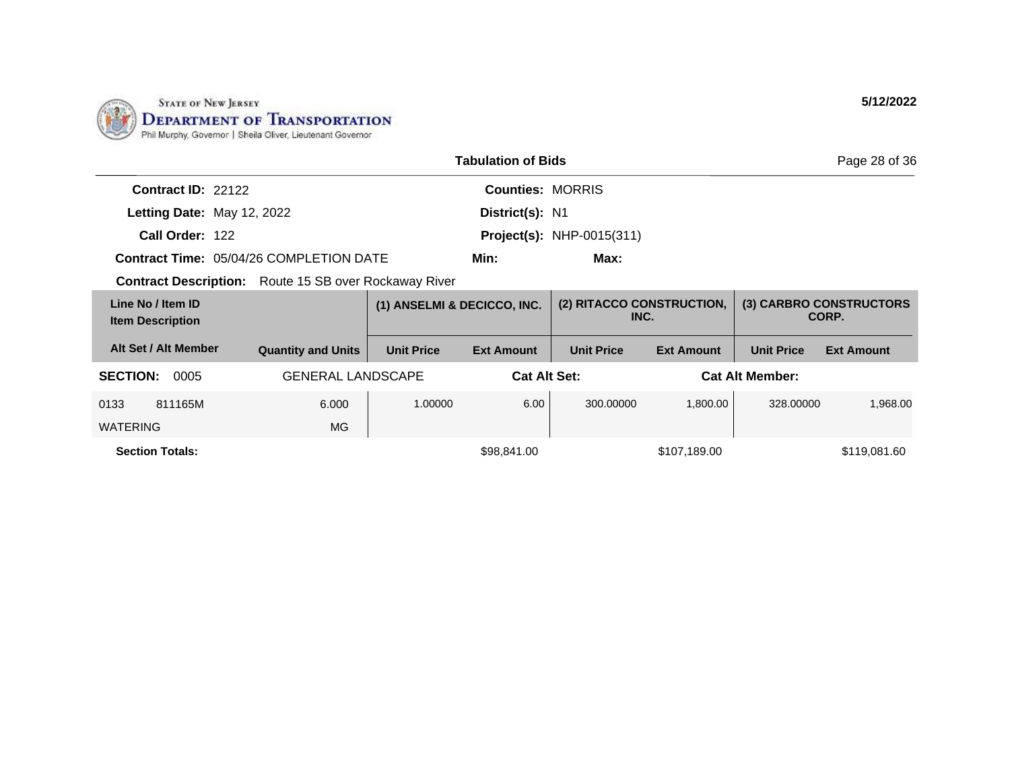

|                                                              |                           | Page 28 of 36               |                         |                                   |                   |                        |                                  |
|--------------------------------------------------------------|---------------------------|-----------------------------|-------------------------|-----------------------------------|-------------------|------------------------|----------------------------------|
| Contract ID: 22122                                           |                           |                             | <b>Counties: MORRIS</b> |                                   |                   |                        |                                  |
| Letting Date: May 12, 2022                                   |                           |                             | District(s): N1         |                                   |                   |                        |                                  |
| Call Order: 122                                              |                           |                             |                         | <b>Project(s): NHP-0015(311)</b>  |                   |                        |                                  |
| <b>Contract Time: 05/04/26 COMPLETION DATE</b>               |                           |                             | Min:                    | Max:                              |                   |                        |                                  |
| <b>Contract Description:</b> Route 15 SB over Rockaway River |                           |                             |                         |                                   |                   |                        |                                  |
| Line No / Item ID<br><b>Item Description</b>                 |                           | (1) ANSELMI & DECICCO, INC. |                         | (2) RITACCO CONSTRUCTION,<br>INC. |                   |                        | (3) CARBRO CONSTRUCTORS<br>CORP. |
| Alt Set / Alt Member                                         | <b>Quantity and Units</b> | <b>Unit Price</b>           | <b>Ext Amount</b>       | <b>Unit Price</b>                 | <b>Ext Amount</b> | <b>Unit Price</b>      | <b>Ext Amount</b>                |
| <b>SECTION:</b><br>0005                                      | <b>GENERAL LANDSCAPE</b>  |                             | <b>Cat Alt Set:</b>     |                                   |                   | <b>Cat Alt Member:</b> |                                  |
| 0133<br>811165M                                              | 6.000                     | 1.00000                     | 6.00                    | 300.00000                         | 1,800.00          | 328,00000              | 1,968.00                         |
| <b>WATERING</b>                                              | <b>MG</b>                 |                             |                         |                                   |                   |                        |                                  |
| <b>Section Totals:</b>                                       |                           |                             | \$98,841.00             |                                   | \$107,189.00      |                        | \$119,081.60                     |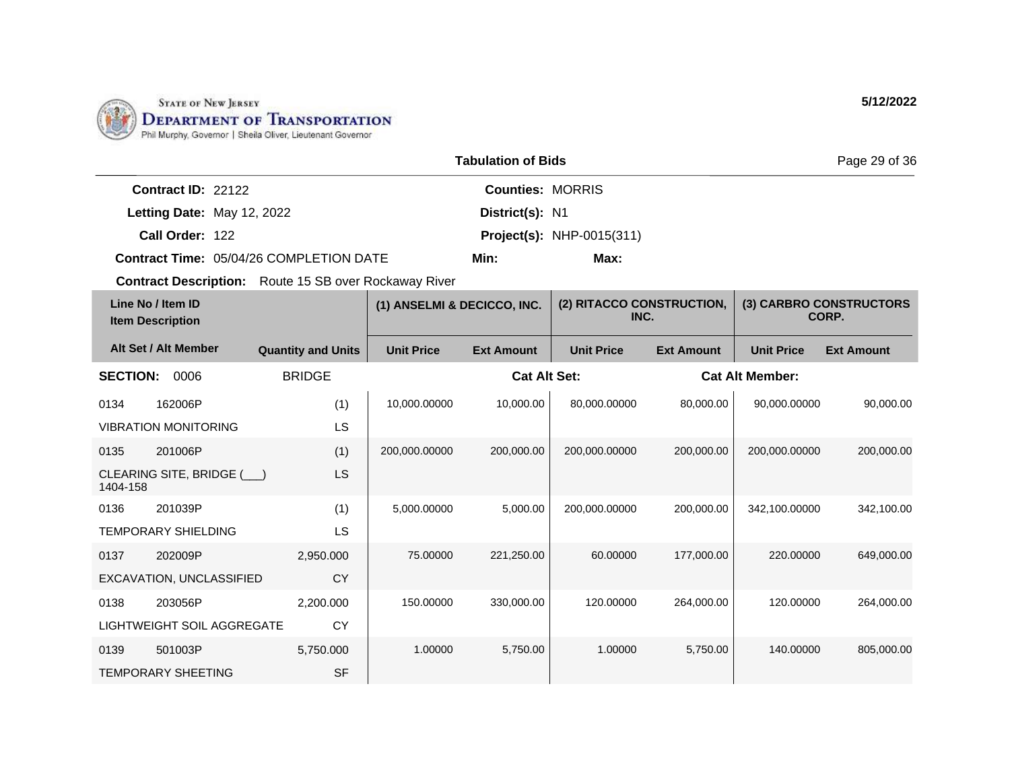

|                      |                                         | Page 29 of 36           |                                  |  |
|----------------------|-----------------------------------------|-------------------------|----------------------------------|--|
| Contract $ID: 22122$ |                                         | <b>Counties: MORRIS</b> |                                  |  |
|                      | Letting Date: May 12, 2022              | District(s): N1         |                                  |  |
| Call Order: 122      |                                         |                         | <b>Project(s):</b> NHP-0015(311) |  |
|                      | Contract Time: 05/04/26 COMPLETION DATE | Min:                    | Max:                             |  |

| Line No / Item ID<br><b>Item Description</b> |                             | (1) ANSELMI & DECICCO, INC. |                   | (2) RITACCO CONSTRUCTION,<br>INC. |                   | (3) CARBRO CONSTRUCTORS<br>CORP. |                        |                   |
|----------------------------------------------|-----------------------------|-----------------------------|-------------------|-----------------------------------|-------------------|----------------------------------|------------------------|-------------------|
|                                              | Alt Set / Alt Member        | <b>Quantity and Units</b>   | <b>Unit Price</b> | <b>Ext Amount</b>                 | <b>Unit Price</b> | <b>Ext Amount</b>                | <b>Unit Price</b>      | <b>Ext Amount</b> |
| <b>SECTION:</b>                              | 0006                        | <b>BRIDGE</b>               |                   | <b>Cat Alt Set:</b>               |                   |                                  | <b>Cat Alt Member:</b> |                   |
| 0134                                         | 162006P                     | (1)                         | 10.000.00000      | 10.000.00                         | 80.000.00000      | 80.000.00                        | 90.000.00000           | 90.000.00         |
|                                              | <b>VIBRATION MONITORING</b> | LS                          |                   |                                   |                   |                                  |                        |                   |
| 0135                                         | 201006P                     | (1)                         | 200,000.00000     | 200,000.00                        | 200,000.00000     | 200,000.00                       | 200,000.00000          | 200,000.00        |
| 1404-158                                     | CLEARING SITE, BRIDGE (     | LS                          |                   |                                   |                   |                                  |                        |                   |
| 0136                                         | 201039P                     | (1)                         | 5,000.00000       | 5,000.00                          | 200,000.00000     | 200.000.00                       | 342,100.00000          | 342,100.00        |
|                                              | <b>TEMPORARY SHIELDING</b>  | LS                          |                   |                                   |                   |                                  |                        |                   |
| 0137                                         | 202009P                     | 2,950.000                   | 75,00000          | 221,250.00                        | 60.00000          | 177,000.00                       | 220,00000              | 649,000.00        |
|                                              | EXCAVATION, UNCLASSIFIED    | CY                          |                   |                                   |                   |                                  |                        |                   |
| 0138                                         | 203056P                     | 2,200.000                   | 150.00000         | 330,000.00                        | 120.00000         | 264.000.00                       | 120.00000              | 264.000.00        |
|                                              | LIGHTWEIGHT SOIL AGGREGATE  | <b>CY</b>                   |                   |                                   |                   |                                  |                        |                   |
| 0139                                         | 501003P                     | 5,750.000                   | 1.00000           | 5,750.00                          | 1.00000           | 5.750.00                         | 140.00000              | 805,000.00        |
|                                              | <b>TEMPORARY SHEETING</b>   | <b>SF</b>                   |                   |                                   |                   |                                  |                        |                   |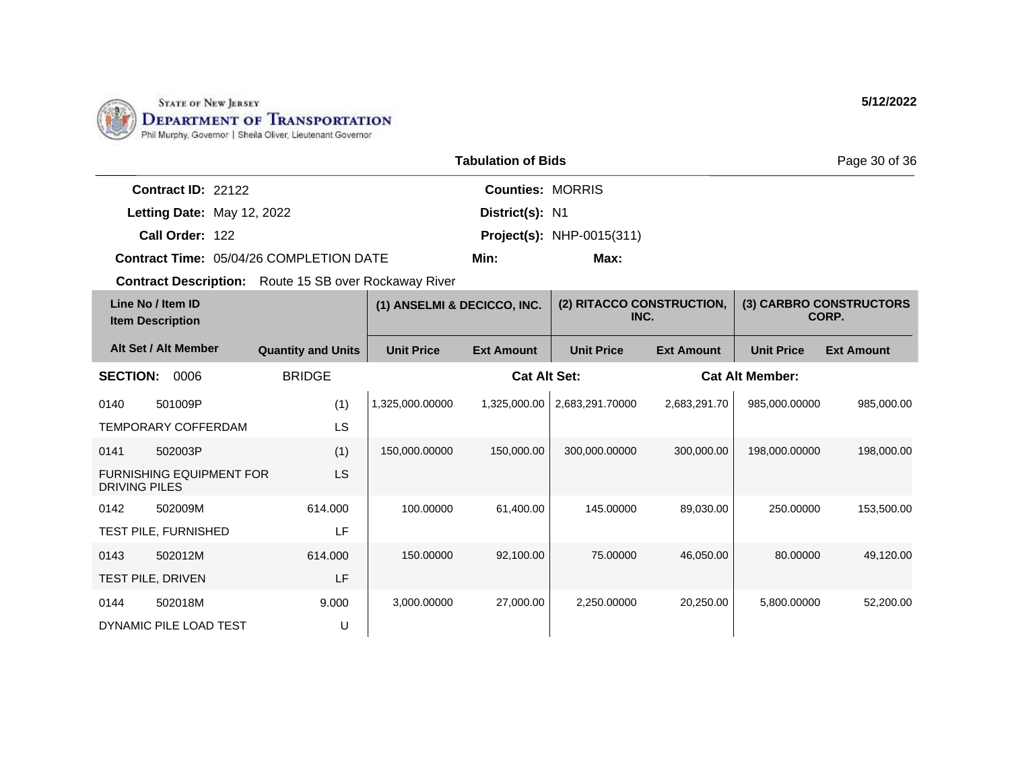

|                    |                                         | Page 30                 |                                  |  |
|--------------------|-----------------------------------------|-------------------------|----------------------------------|--|
| Contract ID: 22122 |                                         | <b>Counties: MORRIS</b> |                                  |  |
|                    | Letting Date: May 12, 2022              | District(s): N1         |                                  |  |
| Call Order: 122    |                                         |                         | <b>Project(s): NHP-0015(311)</b> |  |
|                    | Contract Time: 05/04/26 COMPLETION DATE | Min:                    | Max:                             |  |

| Line No / Item ID<br><b>Item Description</b> |                                 | (1) ANSELMI & DECICCO, INC. |                   | (2) RITACCO CONSTRUCTION,<br>INC. |                   | (3) CARBRO CONSTRUCTORS<br>CORP. |                        |                   |
|----------------------------------------------|---------------------------------|-----------------------------|-------------------|-----------------------------------|-------------------|----------------------------------|------------------------|-------------------|
|                                              | Alt Set / Alt Member            | <b>Quantity and Units</b>   | <b>Unit Price</b> | <b>Ext Amount</b>                 | <b>Unit Price</b> | <b>Ext Amount</b>                | <b>Unit Price</b>      | <b>Ext Amount</b> |
| <b>SECTION:</b>                              | 0006                            | <b>BRIDGE</b>               |                   | <b>Cat Alt Set:</b>               |                   |                                  | <b>Cat Alt Member:</b> |                   |
| 0140                                         | 501009P                         | (1)                         | 1,325,000.00000   | 1,325,000.00                      | 2,683,291.70000   | 2,683,291.70                     | 985,000.00000          | 985,000.00        |
|                                              | <b>TEMPORARY COFFERDAM</b>      | LS                          |                   |                                   |                   |                                  |                        |                   |
| 0141                                         | 502003P                         | (1)                         | 150,000.00000     | 150,000.00                        | 300,000.00000     | 300,000.00                       | 198,000.00000          | 198,000.00        |
| DRIVING PILES                                | <b>FURNISHING EQUIPMENT FOR</b> | LS                          |                   |                                   |                   |                                  |                        |                   |
| 0142                                         | 502009M                         | 614.000                     | 100.00000         | 61,400.00                         | 145.00000         | 89,030.00                        | 250,00000              | 153,500.00        |
|                                              | <b>TEST PILE, FURNISHED</b>     | LF                          |                   |                                   |                   |                                  |                        |                   |
| 0143                                         | 502012M                         | 614.000                     | 150.00000         | 92,100.00                         | 75.00000          | 46,050.00                        | 80.00000               | 49,120.00         |
|                                              | <b>TEST PILE, DRIVEN</b>        | LF                          |                   |                                   |                   |                                  |                        |                   |
| 0144                                         | 502018M                         | 9.000                       | 3,000.00000       | 27,000.00                         | 2,250.00000       | 20,250.00                        | 5,800.00000            | 52,200.00         |
|                                              | DYNAMIC PILE LOAD TEST          | U                           |                   |                                   |                   |                                  |                        |                   |

**5/12/2022**

of  $36$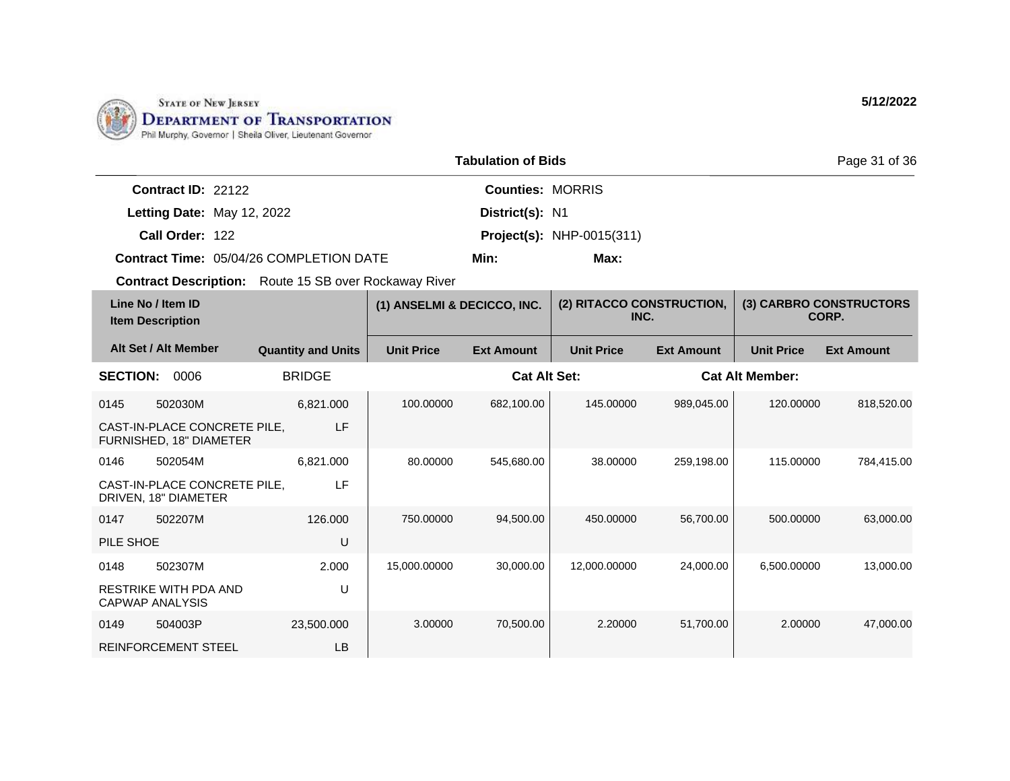

|                                                | <b>Tabulation of Bids</b> |                                  |  |  |  |
|------------------------------------------------|---------------------------|----------------------------------|--|--|--|
| <b>Contract ID: 22122</b>                      | <b>Counties: MORRIS</b>   |                                  |  |  |  |
| Letting Date: May 12, 2022                     | District(s): N1           |                                  |  |  |  |
| Call Order: 122                                |                           | <b>Project(s): NHP-0015(311)</b> |  |  |  |
| <b>Contract Time: 05/04/26 COMPLETION DATE</b> | Min:                      | Max:                             |  |  |  |

| Line No / Item ID<br><b>Item Description</b> |                                                         | (1) ANSELMI & DECICCO, INC. |                   | (2) RITACCO CONSTRUCTION,<br>INC. |                   | (3) CARBRO CONSTRUCTORS<br>CORP. |                        |                   |
|----------------------------------------------|---------------------------------------------------------|-----------------------------|-------------------|-----------------------------------|-------------------|----------------------------------|------------------------|-------------------|
|                                              | Alt Set / Alt Member                                    | <b>Quantity and Units</b>   | <b>Unit Price</b> | <b>Ext Amount</b>                 | <b>Unit Price</b> | <b>Ext Amount</b>                | <b>Unit Price</b>      | <b>Ext Amount</b> |
| <b>SECTION:</b>                              | 0006                                                    | <b>BRIDGE</b>               |                   | <b>Cat Alt Set:</b>               |                   |                                  | <b>Cat Alt Member:</b> |                   |
| 0145                                         | 502030M                                                 | 6,821.000                   | 100.00000         | 682,100.00                        | 145.00000         | 989.045.00                       | 120.00000              | 818,520.00        |
|                                              | CAST-IN-PLACE CONCRETE PILE,<br>FURNISHED, 18" DIAMETER | LF                          |                   |                                   |                   |                                  |                        |                   |
| 0146                                         | 502054M                                                 | 6,821.000                   | 80.00000          | 545,680.00                        | 38,00000          | 259,198.00                       | 115.00000              | 784,415.00        |
|                                              | CAST-IN-PLACE CONCRETE PILE,<br>DRIVEN, 18" DIAMETER    | LF                          |                   |                                   |                   |                                  |                        |                   |
| 0147                                         | 502207M                                                 | 126,000                     | 750.00000         | 94,500.00                         | 450.00000         | 56.700.00                        | 500.00000              | 63,000.00         |
| PILE SHOE                                    |                                                         | U                           |                   |                                   |                   |                                  |                        |                   |
| 0148                                         | 502307M                                                 | 2.000                       | 15,000.00000      | 30,000.00                         | 12,000.00000      | 24,000.00                        | 6,500.00000            | 13,000.00         |
|                                              | RESTRIKE WITH PDA AND<br>CAPWAP ANALYSIS                | U                           |                   |                                   |                   |                                  |                        |                   |
| 0149                                         | 504003P                                                 | 23,500.000                  | 3.00000           | 70,500.00                         | 2.20000           | 51,700.00                        | 2.00000                | 47,000.00         |
|                                              | <b>REINFORCEMENT STEEL</b>                              | LB                          |                   |                                   |                   |                                  |                        |                   |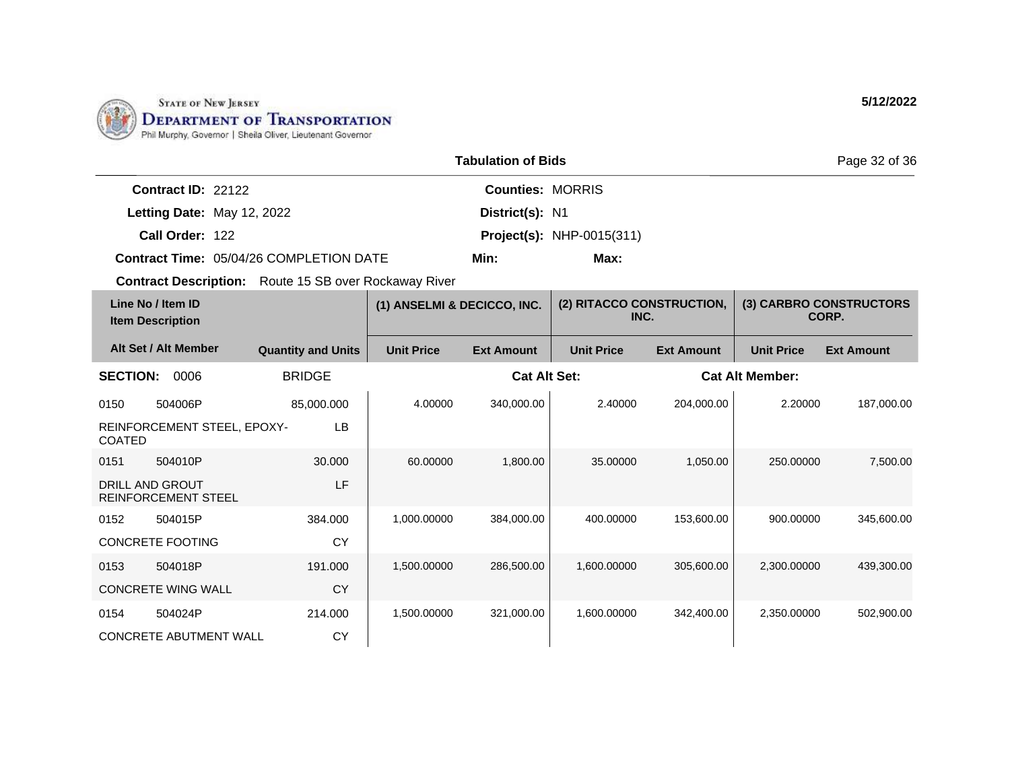

|                                                | <b>Tabulation of Bids</b> |                                  |  |  |  |
|------------------------------------------------|---------------------------|----------------------------------|--|--|--|
| Contract ID: 22122                             | <b>Counties: MORRIS</b>   |                                  |  |  |  |
| Letting Date: May 12, 2022                     | District(s): N1           |                                  |  |  |  |
| Call Order: 122                                |                           | <b>Project(s): NHP-0015(311)</b> |  |  |  |
| <b>Contract Time: 05/04/26 COMPLETION DATE</b> | Min:                      | Max:                             |  |  |  |

| Line No / Item ID<br><b>Item Description</b> |                                               | (1) ANSELMI & DECICCO, INC. |                   | (2) RITACCO CONSTRUCTION,<br>INC. |                   | (3) CARBRO CONSTRUCTORS<br>CORP. |                        |                   |
|----------------------------------------------|-----------------------------------------------|-----------------------------|-------------------|-----------------------------------|-------------------|----------------------------------|------------------------|-------------------|
|                                              | Alt Set / Alt Member                          | <b>Quantity and Units</b>   | <b>Unit Price</b> | <b>Ext Amount</b>                 | <b>Unit Price</b> | <b>Ext Amount</b>                | <b>Unit Price</b>      | <b>Ext Amount</b> |
| <b>SECTION:</b>                              | 0006                                          | <b>BRIDGE</b>               |                   | <b>Cat Alt Set:</b>               |                   |                                  | <b>Cat Alt Member:</b> |                   |
| 0150                                         | 504006P                                       | 85,000.000                  | 4.00000           | 340,000.00                        | 2.40000           | 204,000.00                       | 2.20000                | 187,000.00        |
| <b>COATED</b>                                | REINFORCEMENT STEEL, EPOXY-                   | LB.                         |                   |                                   |                   |                                  |                        |                   |
| 0151                                         | 504010P                                       | 30.000                      | 60.00000          | 1,800.00                          | 35.00000          | 1,050.00                         | 250.00000              | 7,500.00          |
|                                              | DRILL AND GROUT<br><b>REINFORCEMENT STEEL</b> | LF                          |                   |                                   |                   |                                  |                        |                   |
| 0152                                         | 504015P                                       | 384.000                     | 1,000.00000       | 384,000.00                        | 400.00000         | 153,600.00                       | 900.00000              | 345,600.00        |
|                                              | CONCRETE FOOTING                              | <b>CY</b>                   |                   |                                   |                   |                                  |                        |                   |
| 0153                                         | 504018P                                       | 191.000                     | 1,500.00000       | 286,500.00                        | 1,600.00000       | 305,600.00                       | 2,300.00000            | 439,300.00        |
|                                              | <b>CONCRETE WING WALL</b>                     | <b>CY</b>                   |                   |                                   |                   |                                  |                        |                   |
| 0154                                         | 504024P                                       | 214.000                     | 1,500.00000       | 321,000.00                        | 1,600.00000       | 342,400.00                       | 2,350.00000            | 502,900.00        |
|                                              | <b>CONCRETE ABUTMENT WALL</b>                 | <b>CY</b>                   |                   |                                   |                   |                                  |                        |                   |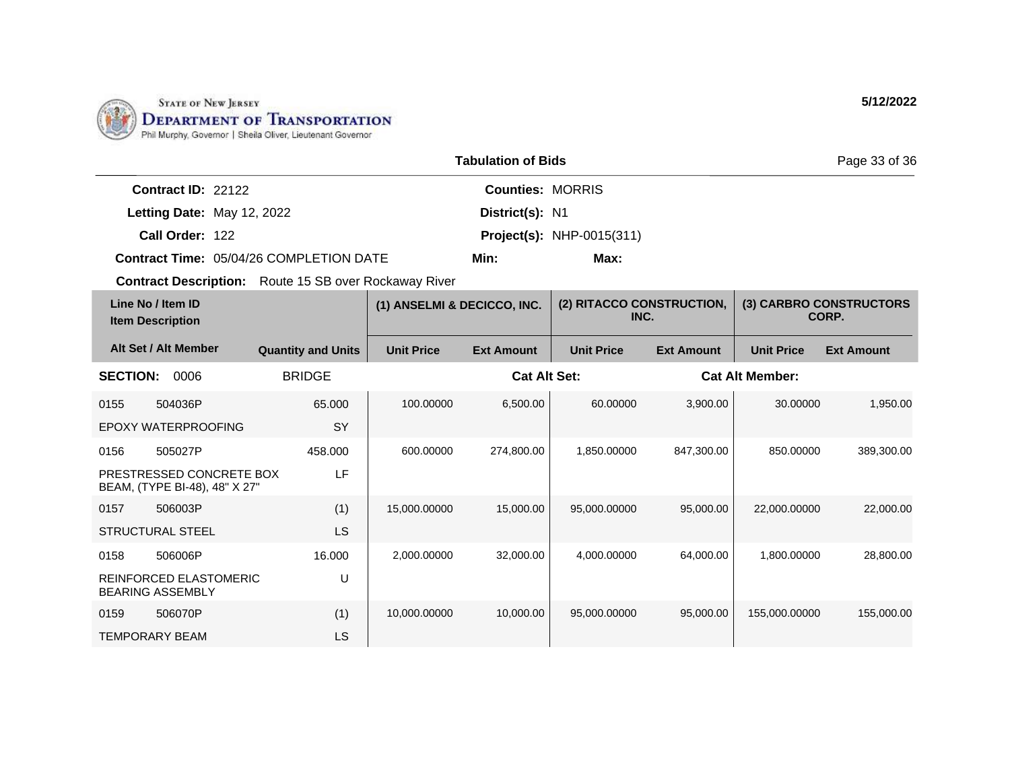

|                           |                                                | <b>Tabulation of Bids</b> |                                  | Page 33 of 36 |
|---------------------------|------------------------------------------------|---------------------------|----------------------------------|---------------|
| <b>Contract ID: 22122</b> |                                                | <b>Counties: MORRIS</b>   |                                  |               |
|                           | Letting Date: May 12, 2022                     | District(s): N1           |                                  |               |
| Call Order: 122           |                                                |                           | <b>Project(s): NHP-0015(311)</b> |               |
|                           | <b>Contract Time: 05/04/26 COMPLETION DATE</b> | Min:                      | Max:                             |               |

| Line No / Item ID<br><b>Item Description</b> |                                                           | (1) ANSELMI & DECICCO, INC. |                   | (2) RITACCO CONSTRUCTION,<br>INC. |                   | (3) CARBRO CONSTRUCTORS<br>CORP. |                        |                   |
|----------------------------------------------|-----------------------------------------------------------|-----------------------------|-------------------|-----------------------------------|-------------------|----------------------------------|------------------------|-------------------|
|                                              | Alt Set / Alt Member                                      | <b>Quantity and Units</b>   | <b>Unit Price</b> | <b>Ext Amount</b>                 | <b>Unit Price</b> | <b>Ext Amount</b>                | <b>Unit Price</b>      | <b>Ext Amount</b> |
| <b>SECTION:</b>                              | 0006                                                      | <b>BRIDGE</b>               |                   | Cat Alt Set:                      |                   |                                  | <b>Cat Alt Member:</b> |                   |
| 0155                                         | 504036P                                                   | 65.000                      | 100.00000         | 6,500.00                          | 60.00000          | 3,900.00                         | 30.00000               | 1,950.00          |
|                                              | EPOXY WATERPROOFING                                       | <b>SY</b>                   |                   |                                   |                   |                                  |                        |                   |
| 0156                                         | 505027P                                                   | 458.000                     | 600.00000         | 274,800.00                        | 1,850.00000       | 847,300.00                       | 850.00000              | 389,300.00        |
|                                              | PRESTRESSED CONCRETE BOX<br>BEAM, (TYPE BI-48), 48" X 27" | LF                          |                   |                                   |                   |                                  |                        |                   |
| 0157                                         | 506003P                                                   | (1)                         | 15,000.00000      | 15,000.00                         | 95,000.00000      | 95,000.00                        | 22,000.00000           | 22,000.00         |
|                                              | <b>STRUCTURAL STEEL</b>                                   | LS                          |                   |                                   |                   |                                  |                        |                   |
| 0158                                         | 506006P                                                   | 16.000                      | 2,000.00000       | 32,000.00                         | 4,000.00000       | 64,000.00                        | 1,800.00000            | 28,800.00         |
|                                              | <b>REINFORCED ELASTOMERIC</b><br><b>BEARING ASSEMBLY</b>  | U                           |                   |                                   |                   |                                  |                        |                   |
| 0159                                         | 506070P                                                   | (1)                         | 10,000.00000      | 10,000.00                         | 95,000.00000      | 95,000.00                        | 155,000.00000          | 155,000.00        |
|                                              | <b>TEMPORARY BEAM</b>                                     | LS                          |                   |                                   |                   |                                  |                        |                   |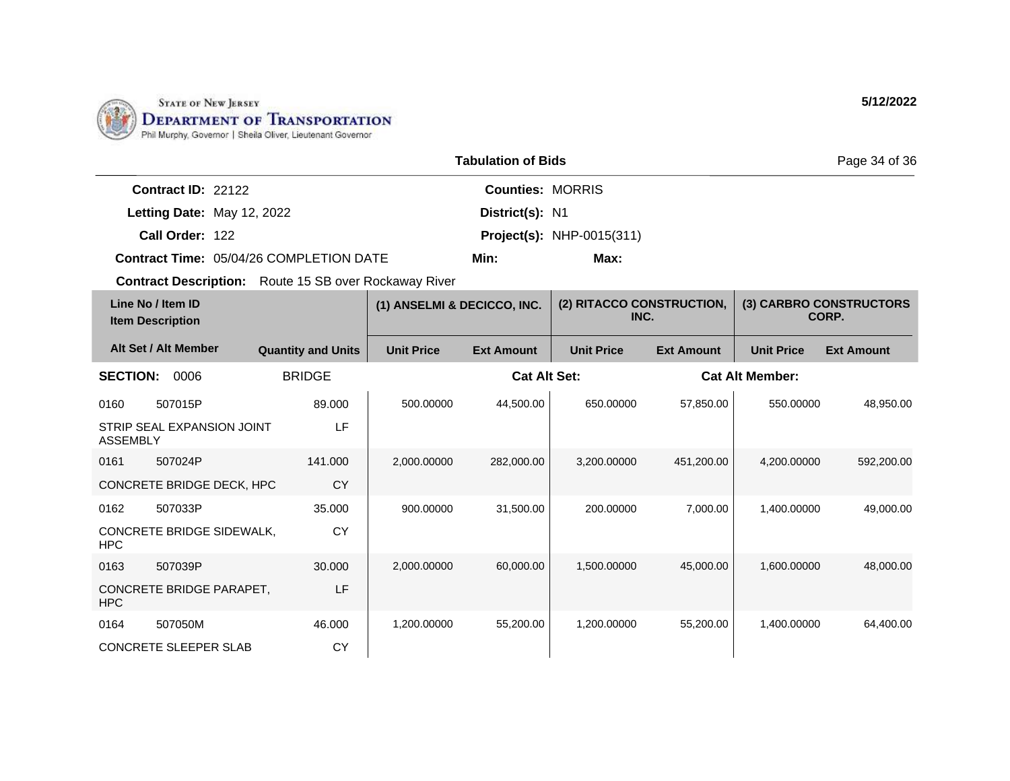

|                            |                                         | <b>Tabulation of Bids</b> |                                  | Page 34 of 36 |
|----------------------------|-----------------------------------------|---------------------------|----------------------------------|---------------|
| Contract ID: 22122         |                                         | <b>Counties: MORRIS</b>   |                                  |               |
| Letting Date: May 12, 2022 |                                         | District(s): N1           |                                  |               |
| Call Order: 122            |                                         |                           | <b>Project(s): NHP-0015(311)</b> |               |
|                            | Contract Time: 05/04/26 COMPLETION DATE | Min:                      | Max:                             |               |

|                 | Line No / Item ID<br><b>Item Description</b> |                           | (1) ANSELMI & DECICCO, INC. |                     | (2) RITACCO CONSTRUCTION,<br>INC. |                   |                        | (3) CARBRO CONSTRUCTORS<br>CORP. |
|-----------------|----------------------------------------------|---------------------------|-----------------------------|---------------------|-----------------------------------|-------------------|------------------------|----------------------------------|
|                 | Alt Set / Alt Member                         | <b>Quantity and Units</b> | <b>Unit Price</b>           | <b>Ext Amount</b>   | <b>Unit Price</b>                 | <b>Ext Amount</b> | <b>Unit Price</b>      | <b>Ext Amount</b>                |
| <b>SECTION:</b> | 0006                                         | <b>BRIDGE</b>             |                             | <b>Cat Alt Set:</b> |                                   |                   | <b>Cat Alt Member:</b> |                                  |
| 0160            | 507015P                                      | 89,000                    | 500.00000                   | 44,500.00           | 650.00000                         | 57,850.00         | 550.00000              | 48,950.00                        |
| <b>ASSEMBLY</b> | STRIP SEAL EXPANSION JOINT                   | LF                        |                             |                     |                                   |                   |                        |                                  |
| 0161            | 507024P                                      | 141.000                   | 2,000.00000                 | 282,000.00          | 3,200.00000                       | 451,200.00        | 4,200.00000            | 592,200.00                       |
|                 | CONCRETE BRIDGE DECK, HPC                    | <b>CY</b>                 |                             |                     |                                   |                   |                        |                                  |
| 0162            | 507033P                                      | 35.000                    | 900.00000                   | 31,500.00           | 200.00000                         | 7,000.00          | 1,400.00000            | 49,000.00                        |
| <b>HPC</b>      | CONCRETE BRIDGE SIDEWALK,                    | CY                        |                             |                     |                                   |                   |                        |                                  |
| 0163            | 507039P                                      | 30.000                    | 2,000.00000                 | 60,000.00           | 1,500.00000                       | 45,000.00         | 1,600.00000            | 48,000.00                        |
| <b>HPC</b>      | CONCRETE BRIDGE PARAPET,                     | LF                        |                             |                     |                                   |                   |                        |                                  |
| 0164            | 507050M                                      | 46.000                    | 1,200.00000                 | 55,200.00           | 1,200.00000                       | 55,200.00         | 1,400.00000            | 64,400.00                        |
|                 | <b>CONCRETE SLEEPER SLAB</b>                 | CY                        |                             |                     |                                   |                   |                        |                                  |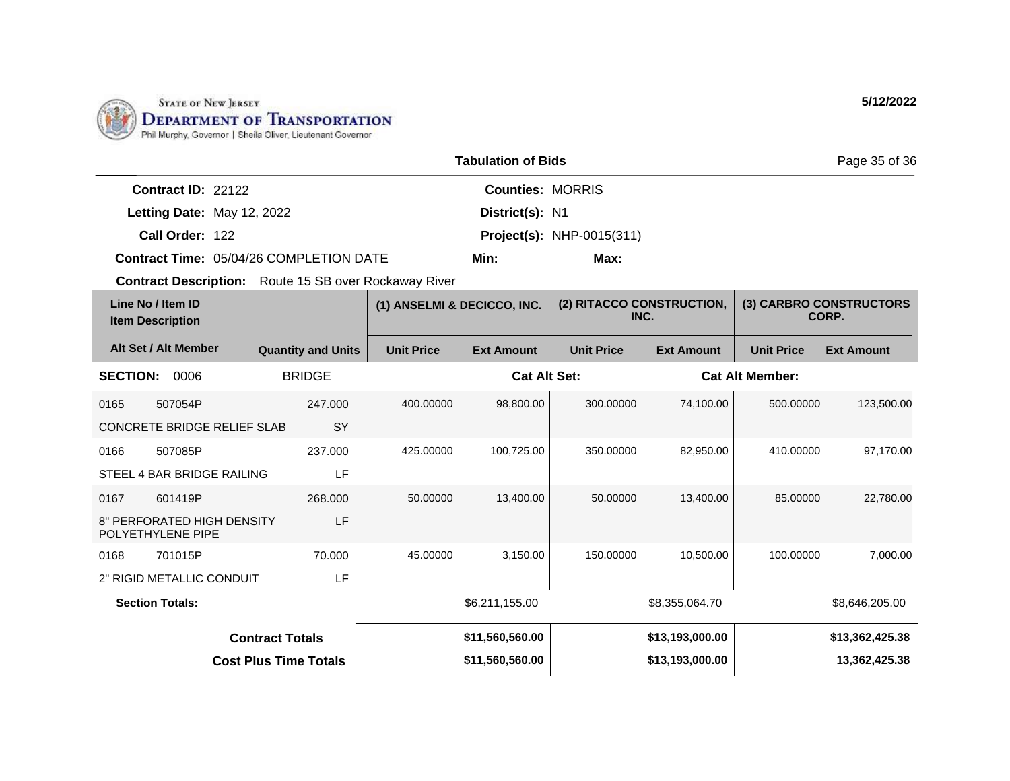

|                            |                                                | <b>Tabulation of Bids</b> |                                  | Page 35 of 36 |
|----------------------------|------------------------------------------------|---------------------------|----------------------------------|---------------|
| Contract ID: 22122         |                                                | <b>Counties: MORRIS</b>   |                                  |               |
| Letting Date: May 12, 2022 |                                                | District(s): N1           |                                  |               |
| Call Order: 122            |                                                |                           | <b>Project(s): NHP-0015(311)</b> |               |
|                            | <b>Contract Time: 05/04/26 COMPLETION DATE</b> | Min:                      | Max:                             |               |

| Line No / Item ID<br><b>Item Description</b> |                                                 | (1) ANSELMI & DECICCO, INC. |                   | (2) RITACCO CONSTRUCTION,<br>INC. |                   | (3) CARBRO CONSTRUCTORS<br>CORP. |                        |                   |
|----------------------------------------------|-------------------------------------------------|-----------------------------|-------------------|-----------------------------------|-------------------|----------------------------------|------------------------|-------------------|
|                                              | Alt Set / Alt Member                            | <b>Quantity and Units</b>   | <b>Unit Price</b> | <b>Ext Amount</b>                 | <b>Unit Price</b> | <b>Ext Amount</b>                | <b>Unit Price</b>      | <b>Ext Amount</b> |
| <b>SECTION:</b>                              | 0006                                            | <b>BRIDGE</b>               |                   | <b>Cat Alt Set:</b>               |                   |                                  | <b>Cat Alt Member:</b> |                   |
| 0165                                         | 507054P                                         | 247.000                     | 400.00000         | 98,800.00                         | 300.00000         | 74,100.00                        | 500.00000              | 123,500.00        |
|                                              | <b>CONCRETE BRIDGE RELIEF SLAB</b>              | SY                          |                   |                                   |                   |                                  |                        |                   |
| 0166                                         | 507085P                                         | 237.000                     | 425.00000         | 100,725.00                        | 350.00000         | 82,950.00                        | 410.00000              | 97,170.00         |
|                                              | STEEL 4 BAR BRIDGE RAILING                      | LF                          |                   |                                   |                   |                                  |                        |                   |
| 0167                                         | 601419P                                         | 268,000                     | 50.00000          | 13,400.00                         | 50.00000          | 13,400.00                        | 85.00000               | 22,780.00         |
|                                              | 8" PERFORATED HIGH DENSITY<br>POLYETHYLENE PIPE | LF                          |                   |                                   |                   |                                  |                        |                   |
| 0168                                         | 701015P                                         | 70.000                      | 45.00000          | 3,150.00                          | 150.00000         | 10.500.00                        | 100.00000              | 7,000.00          |
| LF<br>2" RIGID METALLIC CONDUIT              |                                                 |                             |                   |                                   |                   |                                  |                        |                   |
| <b>Section Totals:</b>                       |                                                 |                             | \$6,211,155.00    |                                   | \$8,355,064.70    |                                  | \$8,646,205.00         |                   |
|                                              |                                                 | <b>Contract Totals</b>      |                   | \$11,560,560.00                   |                   | \$13,193,000.00                  |                        | \$13,362,425.38   |
| <b>Cost Plus Time Totals</b>                 |                                                 |                             | \$11,560,560.00   |                                   | \$13,193,000.00   |                                  | 13,362,425.38          |                   |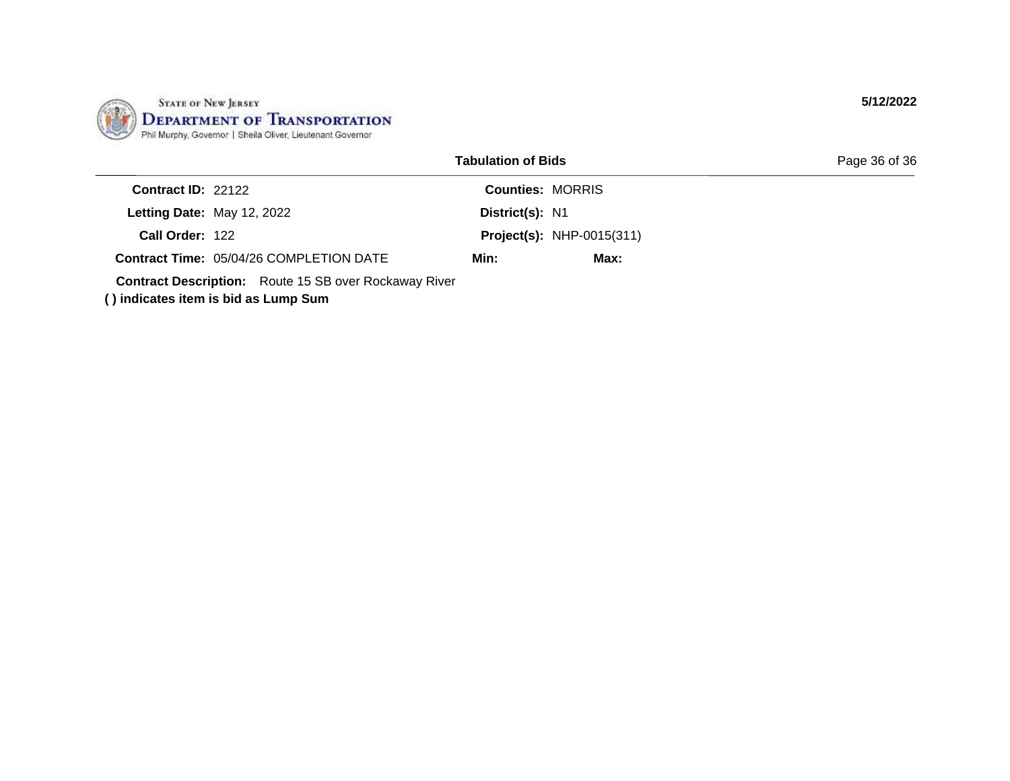

|                                                                                                      | <b>Tabulation of Bids</b> |                                  | Page 36 of 36 |
|------------------------------------------------------------------------------------------------------|---------------------------|----------------------------------|---------------|
| Contract ID: 22122                                                                                   |                           | <b>Counties: MORRIS</b>          |               |
| Letting Date: May 12, 2022                                                                           | District(s): N1           |                                  |               |
| Call Order: 122                                                                                      |                           | <b>Project(s): NHP-0015(311)</b> |               |
| <b>Contract Time: 05/04/26 COMPLETION DATE</b>                                                       | Min:                      | Max:                             |               |
| <b>Contract Description:</b> Route 15 SB over Rockaway River<br>() indicates item is bid as Lump Sum |                           |                                  |               |